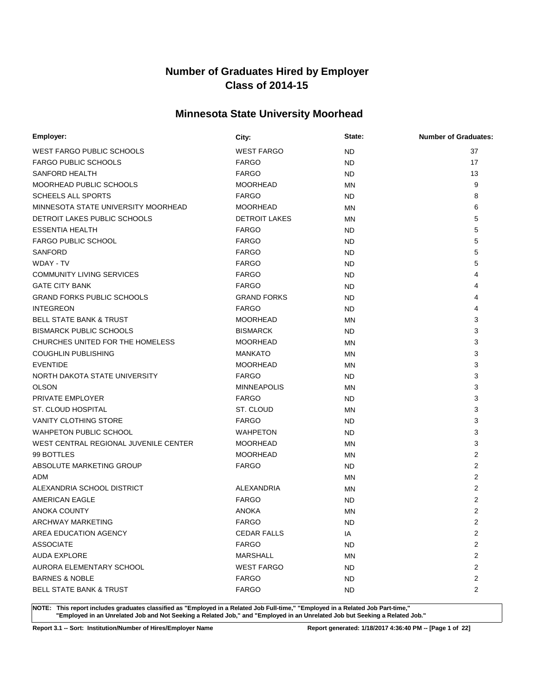# **Minnesota State University Moorhead**

| Employer:                             | City:                | State:    | <b>Number of Graduates:</b> |
|---------------------------------------|----------------------|-----------|-----------------------------|
| <b>WEST FARGO PUBLIC SCHOOLS</b>      | <b>WEST FARGO</b>    | ND.       | 37                          |
| <b>FARGO PUBLIC SCHOOLS</b>           | <b>FARGO</b>         | ND.       | 17                          |
| SANFORD HEALTH                        | <b>FARGO</b>         | ND.       | 13                          |
| MOORHEAD PUBLIC SCHOOLS               | <b>MOORHEAD</b>      | <b>MN</b> | 9                           |
| <b>SCHEELS ALL SPORTS</b>             | <b>FARGO</b>         | ND.       | 8                           |
| MINNESOTA STATE UNIVERSITY MOORHEAD   | <b>MOORHEAD</b>      | <b>MN</b> | 6                           |
| DETROIT LAKES PUBLIC SCHOOLS          | <b>DETROIT LAKES</b> | <b>MN</b> | 5                           |
| <b>ESSENTIA HEALTH</b>                | <b>FARGO</b>         | ND.       | 5                           |
| <b>FARGO PUBLIC SCHOOL</b>            | <b>FARGO</b>         | ND.       | 5                           |
| <b>SANFORD</b>                        | <b>FARGO</b>         | ND.       | 5                           |
| WDAY - TV                             | <b>FARGO</b>         | ND.       | 5                           |
| <b>COMMUNITY LIVING SERVICES</b>      | <b>FARGO</b>         | ND.       | 4                           |
| <b>GATE CITY BANK</b>                 | <b>FARGO</b>         | <b>ND</b> | 4                           |
| <b>GRAND FORKS PUBLIC SCHOOLS</b>     | <b>GRAND FORKS</b>   | ND.       | 4                           |
| <b>INTEGREON</b>                      | <b>FARGO</b>         | ND.       | 4                           |
| <b>BELL STATE BANK &amp; TRUST</b>    | <b>MOORHEAD</b>      | ΜN        | 3                           |
| <b>BISMARCK PUBLIC SCHOOLS</b>        | <b>BISMARCK</b>      | ND.       | 3                           |
| CHURCHES UNITED FOR THE HOMELESS      | <b>MOORHEAD</b>      | <b>MN</b> | 3                           |
| <b>COUGHLIN PUBLISHING</b>            | <b>MANKATO</b>       | MN        | 3                           |
| <b>EVENTIDE</b>                       | <b>MOORHEAD</b>      | <b>MN</b> | 3                           |
| NORTH DAKOTA STATE UNIVERSITY         | <b>FARGO</b>         | ND.       | 3                           |
| <b>OLSON</b>                          | <b>MINNEAPOLIS</b>   | <b>MN</b> | 3                           |
| PRIVATE EMPLOYER                      | <b>FARGO</b>         | ND.       | 3                           |
| ST. CLOUD HOSPITAL                    | ST. CLOUD            | <b>MN</b> | 3                           |
| <b>VANITY CLOTHING STORE</b>          | <b>FARGO</b>         | ND.       | 3                           |
| <b>WAHPETON PUBLIC SCHOOL</b>         | <b>WAHPETON</b>      | ND.       | 3                           |
| WEST CENTRAL REGIONAL JUVENILE CENTER | <b>MOORHEAD</b>      | MN        | 3                           |
| 99 BOTTLES                            | <b>MOORHEAD</b>      | ΜN        | 2                           |
| ABSOLUTE MARKETING GROUP              | <b>FARGO</b>         | ND.       | 2                           |
| ADM                                   |                      | MN        | 2                           |
| ALEXANDRIA SCHOOL DISTRICT            | <b>ALEXANDRIA</b>    | MN        | 2                           |
| AMERICAN EAGLE                        | <b>FARGO</b>         | ND.       | $\overline{2}$              |
| ANOKA COUNTY                          | <b>ANOKA</b>         | MN        | $\overline{2}$              |
| ARCHWAY MARKETING                     | <b>FARGO</b>         | <b>ND</b> | $\overline{2}$              |
| AREA EDUCATION AGENCY                 | <b>CEDAR FALLS</b>   | IA        | $\overline{2}$              |
| <b>ASSOCIATE</b>                      | <b>FARGO</b>         | <b>ND</b> | $\overline{2}$              |
| <b>AUDA EXPLORE</b>                   | <b>MARSHALL</b>      | ΜN        | $\overline{2}$              |
| AURORA ELEMENTARY SCHOOL              | <b>WEST FARGO</b>    | ND.       | $\overline{2}$              |
| <b>BARNES &amp; NOBLE</b>             | <b>FARGO</b>         | ND.       | $\overline{2}$              |
| <b>BELL STATE BANK &amp; TRUST</b>    | <b>FARGO</b>         | ND.       | $\overline{2}$              |

**NOTE: This report includes graduates classified as "Employed in a Related Job Full-time," "Employed in a Related Job Part-time," "Employed in an Unrelated Job and Not Seeking a Related Job," and "Employed in an Unrelated Job but Seeking a Related Job."**

**Report 3.1 -- Sort: Institution/Number of Hires/Employer Name Report generated: 1/18/2017 4:36:40 PM -- [Page 1 of 22]**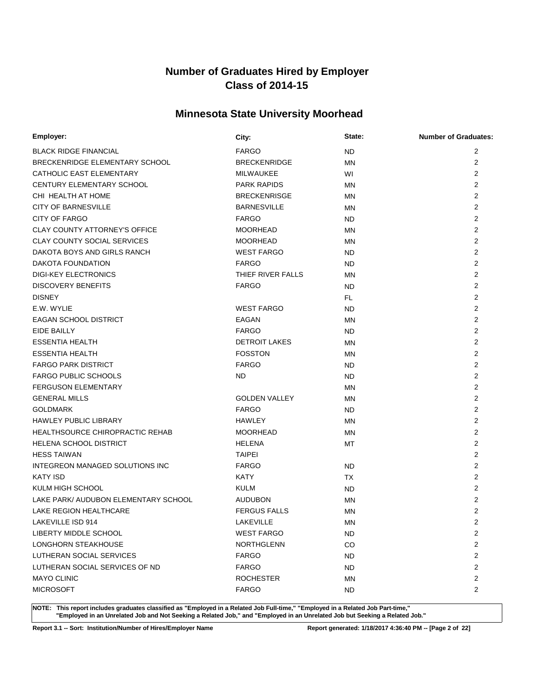# **Minnesota State University Moorhead**

| Employer:                              | City:                | State:    | <b>Number of Graduates:</b> |
|----------------------------------------|----------------------|-----------|-----------------------------|
| <b>BLACK RIDGE FINANCIAL</b>           | <b>FARGO</b>         | <b>ND</b> | $\overline{2}$              |
| BRECKENRIDGE ELEMENTARY SCHOOL         | <b>BRECKENRIDGE</b>  | <b>MN</b> | 2                           |
| CATHOLIC EAST ELEMENTARY               | MILWAUKEE            | WI        | 2                           |
| CENTURY ELEMENTARY SCHOOL              | <b>PARK RAPIDS</b>   | ΜN        | 2                           |
| CHI HEALTH AT HOME                     | <b>BRECKENRISGE</b>  | <b>MN</b> | $\overline{2}$              |
| <b>CITY OF BARNESVILLE</b>             | <b>BARNESVILLE</b>   | MN        | 2                           |
| CITY OF FARGO                          | <b>FARGO</b>         | ND.       | $\overline{2}$              |
| <b>CLAY COUNTY ATTORNEY'S OFFICE</b>   | <b>MOORHEAD</b>      | <b>MN</b> | 2                           |
| <b>CLAY COUNTY SOCIAL SERVICES</b>     | <b>MOORHEAD</b>      | <b>MN</b> | 2                           |
| DAKOTA BOYS AND GIRLS RANCH            | <b>WEST FARGO</b>    | ND.       | 2                           |
| DAKOTA FOUNDATION                      | <b>FARGO</b>         | ND.       | 2                           |
| <b>DIGI-KEY ELECTRONICS</b>            | THIEF RIVER FALLS    | <b>MN</b> | 2                           |
| <b>DISCOVERY BENEFITS</b>              | <b>FARGO</b>         | ND.       | 2                           |
| <b>DISNEY</b>                          |                      | FL.       | 2                           |
| E.W. WYLIE                             | <b>WEST FARGO</b>    | ND.       | 2                           |
| EAGAN SCHOOL DISTRICT                  | EAGAN                | <b>MN</b> | 2                           |
| EIDE BAILLY                            | <b>FARGO</b>         | ND.       | 2                           |
| <b>ESSENTIA HEALTH</b>                 | <b>DETROIT LAKES</b> | <b>MN</b> | 2                           |
| <b>ESSENTIA HEALTH</b>                 | <b>FOSSTON</b>       | <b>MN</b> | 2                           |
| <b>FARGO PARK DISTRICT</b>             | <b>FARGO</b>         | ND.       | $\overline{2}$              |
| <b>FARGO PUBLIC SCHOOLS</b>            | ND.                  | ND.       | $\overline{2}$              |
| FERGUSON ELEMENTARY                    |                      | MN        | $\overline{2}$              |
| <b>GENERAL MILLS</b>                   | <b>GOLDEN VALLEY</b> | <b>MN</b> | $\overline{2}$              |
| <b>GOLDMARK</b>                        | <b>FARGO</b>         | ND.       | $\overline{2}$              |
| <b>HAWLEY PUBLIC LIBRARY</b>           | <b>HAWLEY</b>        | <b>MN</b> | $\overline{2}$              |
| <b>HEALTHSOURCE CHIROPRACTIC REHAB</b> | <b>MOORHEAD</b>      | <b>MN</b> | 2                           |
| <b>HELENA SCHOOL DISTRICT</b>          | <b>HELENA</b>        | МT        | 2                           |
| <b>HESS TAIWAN</b>                     | <b>TAIPEI</b>        |           | $\overline{2}$              |
| INTEGREON MANAGED SOLUTIONS INC        | <b>FARGO</b>         | <b>ND</b> | 2                           |
| <b>KATY ISD</b>                        | <b>KATY</b>          | <b>TX</b> | 2                           |
| KULM HIGH SCHOOL                       | <b>KULM</b>          | ND        | $\overline{2}$              |
| LAKE PARK/ AUDUBON ELEMENTARY SCHOOL   | <b>AUDUBON</b>       | <b>MN</b> | 2                           |
| LAKE REGION HEALTHCARE                 | <b>FERGUS FALLS</b>  | MN        | $\overline{2}$              |
| <b>LAKEVILLE ISD 914</b>               | LAKEVILLE            | ΜN        | $\overline{2}$              |
| LIBERTY MIDDLE SCHOOL                  | <b>WEST FARGO</b>    | ND.       | $\overline{2}$              |
| LONGHORN STEAKHOUSE                    | <b>NORTHGLENN</b>    | CO        | $\overline{2}$              |
| LUTHERAN SOCIAL SERVICES               | <b>FARGO</b>         | ND.       | $\overline{2}$              |
| LUTHERAN SOCIAL SERVICES OF ND         | <b>FARGO</b>         | ND.       | $\overline{2}$              |
| <b>MAYO CLINIC</b>                     | <b>ROCHESTER</b>     | ΜN        | $\overline{c}$              |
| <b>MICROSOFT</b>                       | <b>FARGO</b>         | ND.       | $\overline{2}$              |

**NOTE: This report includes graduates classified as "Employed in a Related Job Full-time," "Employed in a Related Job Part-time," "Employed in an Unrelated Job and Not Seeking a Related Job," and "Employed in an Unrelated Job but Seeking a Related Job."**

**Report 3.1 -- Sort: Institution/Number of Hires/Employer Name Report generated: 1/18/2017 4:36:40 PM -- [Page 2 of 22]**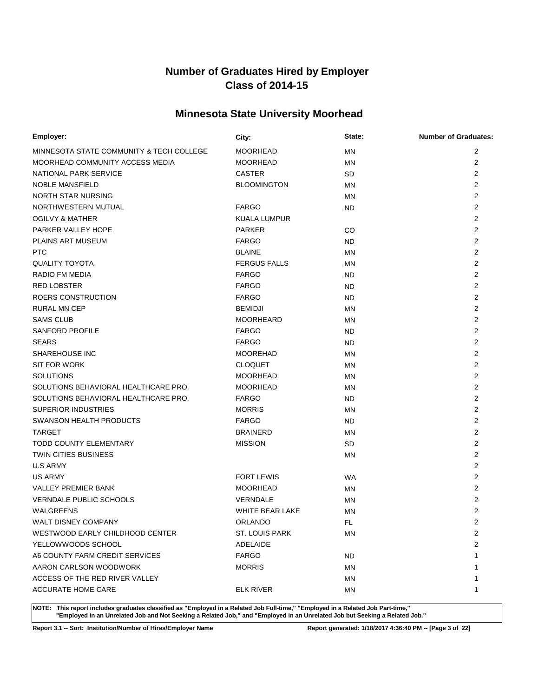# **Minnesota State University Moorhead**

| Employer:                                | City:                  | State:    | <b>Number of Graduates:</b> |
|------------------------------------------|------------------------|-----------|-----------------------------|
| MINNESOTA STATE COMMUNITY & TECH COLLEGE | <b>MOORHEAD</b>        | <b>MN</b> | 2                           |
| MOORHEAD COMMUNITY ACCESS MEDIA          | <b>MOORHEAD</b>        | <b>MN</b> | $\overline{2}$              |
| NATIONAL PARK SERVICE                    | <b>CASTER</b>          | <b>SD</b> | 2                           |
| <b>NOBLE MANSFIELD</b>                   | <b>BLOOMINGTON</b>     | MN        | 2                           |
| NORTH STAR NURSING                       |                        | <b>MN</b> | 2                           |
| NORTHWESTERN MUTUAL                      | <b>FARGO</b>           | ND.       | 2                           |
| <b>OGILVY &amp; MATHER</b>               | <b>KUALA LUMPUR</b>    |           | 2                           |
| PARKER VALLEY HOPE                       | <b>PARKER</b>          | CO        | 2                           |
| PLAINS ART MUSEUM                        | <b>FARGO</b>           | ND.       | $\overline{2}$              |
| <b>PTC</b>                               | <b>BLAINE</b>          | <b>MN</b> | $\overline{2}$              |
| <b>QUALITY TOYOTA</b>                    | <b>FERGUS FALLS</b>    | <b>MN</b> | 2                           |
| RADIO FM MEDIA                           | <b>FARGO</b>           | ND.       | $\overline{2}$              |
| <b>RED LOBSTER</b>                       | <b>FARGO</b>           | ND.       | $\overline{2}$              |
| ROERS CONSTRUCTION                       | <b>FARGO</b>           | ND        | 2                           |
| <b>RURAL MN CEP</b>                      | <b>BEMIDJI</b>         | <b>MN</b> | $\overline{2}$              |
| <b>SAMS CLUB</b>                         | <b>MOORHEARD</b>       | <b>MN</b> | $\overline{2}$              |
| SANFORD PROFILE                          | <b>FARGO</b>           | ND.       | 2                           |
| <b>SEARS</b>                             | <b>FARGO</b>           | ND.       | 2                           |
| <b>SHAREHOUSE INC</b>                    | <b>MOOREHAD</b>        | <b>MN</b> | $\overline{2}$              |
| <b>SIT FOR WORK</b>                      | <b>CLOQUET</b>         | MN        | 2                           |
| <b>SOLUTIONS</b>                         | <b>MOORHEAD</b>        | MN        | 2                           |
| SOLUTIONS BEHAVIORAL HEALTHCARE PRO.     | <b>MOORHEAD</b>        | <b>MN</b> | 2                           |
| SOLUTIONS BEHAVIORAL HEALTHCARE PRO.     | <b>FARGO</b>           | ND.       | $\overline{2}$              |
| <b>SUPERIOR INDUSTRIES</b>               | <b>MORRIS</b>          | ΜN        | $\overline{2}$              |
| SWANSON HEALTH PRODUCTS                  | <b>FARGO</b>           | ND.       | $\overline{2}$              |
| <b>TARGET</b>                            | <b>BRAINERD</b>        | <b>MN</b> | $\overline{2}$              |
| <b>TODD COUNTY ELEMENTARY</b>            | <b>MISSION</b>         | SD        | $\overline{2}$              |
| TWIN CITIES BUSINESS                     |                        | <b>MN</b> | $\overline{2}$              |
| <b>U.S ARMY</b>                          |                        |           | $\overline{2}$              |
| <b>US ARMY</b>                           | <b>FORT LEWIS</b>      | <b>WA</b> | $\overline{2}$              |
| <b>VALLEY PREMIER BANK</b>               | <b>MOORHEAD</b>        | MN        | $\overline{2}$              |
| <b>VERNDALE PUBLIC SCHOOLS</b>           | VERNDALE               | <b>MN</b> | $\overline{2}$              |
| WALGREENS                                | <b>WHITE BEAR LAKE</b> | ΜN        | 2                           |
| <b>WALT DISNEY COMPANY</b>               | <b>ORLANDO</b>         | FL        | $\overline{2}$              |
| WESTWOOD EARLY CHILDHOOD CENTER          | <b>ST. LOUIS PARK</b>  | ΜN        | $\overline{2}$              |
| YELLOWWOODS SCHOOL                       | ADELAIDE               |           | $\overline{2}$              |
| A6 COUNTY FARM CREDIT SERVICES           | <b>FARGO</b>           | <b>ND</b> |                             |
| AARON CARLSON WOODWORK                   | <b>MORRIS</b>          | <b>MN</b> |                             |
| ACCESS OF THE RED RIVER VALLEY           |                        | <b>MN</b> |                             |
| ACCURATE HOME CARE                       | <b>ELK RIVER</b>       | ΜN        | 1                           |

**NOTE: This report includes graduates classified as "Employed in a Related Job Full-time," "Employed in a Related Job Part-time," "Employed in an Unrelated Job and Not Seeking a Related Job," and "Employed in an Unrelated Job but Seeking a Related Job."**

**Report 3.1 -- Sort: Institution/Number of Hires/Employer Name Report generated: 1/18/2017 4:36:40 PM -- [Page 3 of 22]**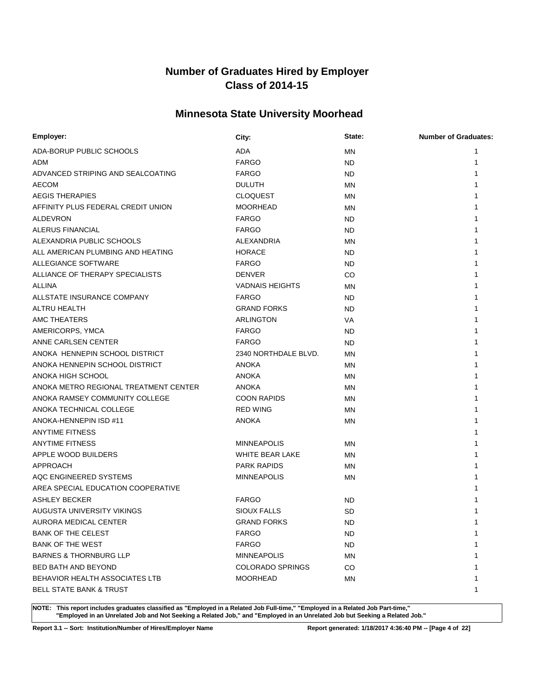# **Minnesota State University Moorhead**

| Employer:                             | City:                   | State:    | <b>Number of Graduates:</b> |
|---------------------------------------|-------------------------|-----------|-----------------------------|
| ADA-BORUP PUBLIC SCHOOLS              | <b>ADA</b>              | <b>MN</b> |                             |
| ADM                                   | <b>FARGO</b>            | ND        | 1                           |
| ADVANCED STRIPING AND SEALCOATING     | <b>FARGO</b>            | <b>ND</b> |                             |
| <b>AECOM</b>                          | <b>DULUTH</b>           | <b>MN</b> |                             |
| <b>AEGIS THERAPIES</b>                | <b>CLOQUEST</b>         | <b>MN</b> |                             |
| AFFINITY PLUS FEDERAL CREDIT UNION    | <b>MOORHEAD</b>         | <b>MN</b> |                             |
| <b>ALDEVRON</b>                       | <b>FARGO</b>            | <b>ND</b> |                             |
| ALERUS FINANCIAL                      | <b>FARGO</b>            | ND        |                             |
| ALEXANDRIA PUBLIC SCHOOLS             | ALEXANDRIA              | <b>MN</b> |                             |
| ALL AMERICAN PLUMBING AND HEATING     | <b>HORACE</b>           | ND        |                             |
| ALLEGIANCE SOFTWARE                   | <b>FARGO</b>            | <b>ND</b> |                             |
| ALLIANCE OF THERAPY SPECIALISTS       | <b>DENVER</b>           | CO        |                             |
| <b>ALLINA</b>                         | <b>VADNAIS HEIGHTS</b>  | <b>MN</b> |                             |
| ALLSTATE INSURANCE COMPANY            | <b>FARGO</b>            | ND        |                             |
| ALTRU HEALTH                          | <b>GRAND FORKS</b>      | <b>ND</b> |                             |
| AMC THEATERS                          | ARLINGTON               | VA        |                             |
| AMERICORPS, YMCA                      | <b>FARGO</b>            | ND        |                             |
| ANNE CARLSEN CENTER                   | <b>FARGO</b>            | ND        |                             |
| ANOKA HENNEPIN SCHOOL DISTRICT        | 2340 NORTHDALE BLVD.    | <b>MN</b> |                             |
| ANOKA HENNEPIN SCHOOL DISTRICT        | <b>ANOKA</b>            | MN        |                             |
| ANOKA HIGH SCHOOL                     | <b>ANOKA</b>            | MN        |                             |
| ANOKA METRO REGIONAL TREATMENT CENTER | <b>ANOKA</b>            | ΜN        |                             |
| ANOKA RAMSEY COMMUNITY COLLEGE        | <b>COON RAPIDS</b>      | <b>MN</b> |                             |
| ANOKA TECHNICAL COLLEGE               | <b>RED WING</b>         | MN        |                             |
| ANOKA-HENNEPIN ISD #11                | <b>ANOKA</b>            | <b>MN</b> |                             |
| <b>ANYTIME FITNESS</b>                |                         |           |                             |
| <b>ANYTIME FITNESS</b>                | <b>MINNEAPOLIS</b>      | ΜN        |                             |
| APPLE WOOD BUILDERS                   | WHITE BEAR LAKE         | ΜN        |                             |
| APPROACH                              | <b>PARK RAPIDS</b>      | <b>MN</b> |                             |
| AQC ENGINEERED SYSTEMS                | <b>MINNEAPOLIS</b>      | ΜN        |                             |
| AREA SPECIAL EDUCATION COOPERATIVE    |                         |           |                             |
| <b>ASHLEY BECKER</b>                  | <b>FARGO</b>            | ND        |                             |
| AUGUSTA UNIVERSITY VIKINGS            | <b>SIOUX FALLS</b>      | <b>SD</b> |                             |
| AURORA MEDICAL CENTER                 | <b>GRAND FORKS</b>      | <b>ND</b> | 1                           |
| <b>BANK OF THE CELEST</b>             | <b>FARGO</b>            | <b>ND</b> | 1                           |
| <b>BANK OF THE WEST</b>               | <b>FARGO</b>            | ND.       |                             |
| <b>BARNES &amp; THORNBURG LLP</b>     | <b>MINNEAPOLIS</b>      | MN        |                             |
| <b>BED BATH AND BEYOND</b>            | <b>COLORADO SPRINGS</b> | CO        |                             |
| BEHAVIOR HEALTH ASSOCIATES LTB        | <b>MOORHEAD</b>         | ΜN        |                             |
| <b>BELL STATE BANK &amp; TRUST</b>    |                         |           | 1                           |

**NOTE: This report includes graduates classified as "Employed in a Related Job Full-time," "Employed in a Related Job Part-time," "Employed in an Unrelated Job and Not Seeking a Related Job," and "Employed in an Unrelated Job but Seeking a Related Job."**

**Report 3.1 -- Sort: Institution/Number of Hires/Employer Name Report generated: 1/18/2017 4:36:40 PM -- [Page 4 of 22]**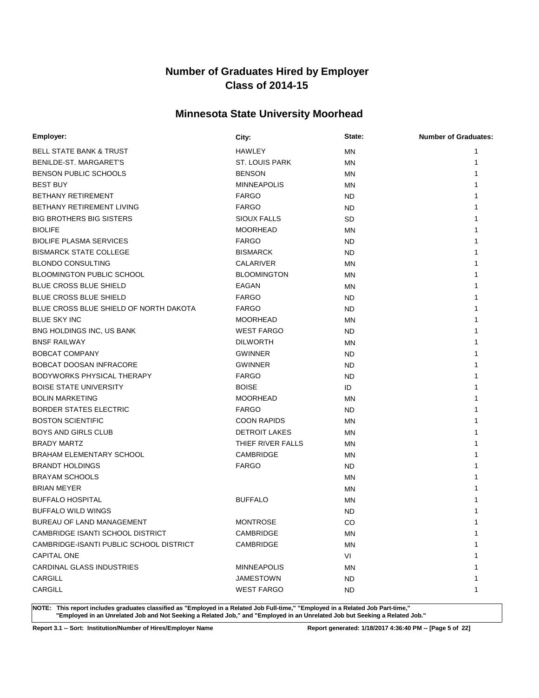# **Minnesota State University Moorhead**

| Employer:                               | City:                | State:    | <b>Number of Graduates:</b> |
|-----------------------------------------|----------------------|-----------|-----------------------------|
| <b>BELL STATE BANK &amp; TRUST</b>      | <b>HAWLEY</b>        | ΜN        | 1                           |
| BENILDE-ST. MARGARET'S                  | ST. LOUIS PARK       | MN        | 1                           |
| BENSON PUBLIC SCHOOLS                   | <b>BENSON</b>        | ΜN        |                             |
| <b>BEST BUY</b>                         | <b>MINNEAPOLIS</b>   | MN        |                             |
| <b>BETHANY RETIREMENT</b>               | <b>FARGO</b>         | ND        |                             |
| BETHANY RETIREMENT LIVING               | <b>FARGO</b>         | ND        |                             |
| <b>BIG BROTHERS BIG SISTERS</b>         | <b>SIOUX FALLS</b>   | SD        |                             |
| <b>BIOLIFE</b>                          | <b>MOORHEAD</b>      | MN        |                             |
| <b>BIOLIFE PLASMA SERVICES</b>          | <b>FARGO</b>         | ND        |                             |
| <b>BISMARCK STATE COLLEGE</b>           | <b>BISMARCK</b>      | ND        |                             |
| <b>BLONDO CONSULTING</b>                | CALARIVER            | ΜN        |                             |
| <b>BLOOMINGTON PUBLIC SCHOOL</b>        | <b>BLOOMINGTON</b>   | ΜN        |                             |
| <b>BLUE CROSS BLUE SHIELD</b>           | EAGAN                | ΜN        |                             |
| <b>BLUE CROSS BLUE SHIELD</b>           | <b>FARGO</b>         | ND        |                             |
| BLUE CROSS BLUE SHIELD OF NORTH DAKOTA  | <b>FARGO</b>         | ND        |                             |
| <b>BLUE SKY INC</b>                     | <b>MOORHEAD</b>      | ΜN        |                             |
| BNG HOLDINGS INC, US BANK               | <b>WEST FARGO</b>    | <b>ND</b> |                             |
| <b>BNSF RAILWAY</b>                     | <b>DILWORTH</b>      | ΜN        |                             |
| <b>BOBCAT COMPANY</b>                   | <b>GWINNER</b>       | ND        |                             |
| <b>BOBCAT DOOSAN INFRACORE</b>          | <b>GWINNER</b>       | ND        |                             |
| BODYWORKS PHYSICAL THERAPY              | <b>FARGO</b>         | ND        |                             |
| <b>BOISE STATE UNIVERSITY</b>           | <b>BOISE</b>         | ID        |                             |
| <b>BOLIN MARKETING</b>                  | <b>MOORHEAD</b>      | ΜN        |                             |
| <b>BORDER STATES ELECTRIC</b>           | <b>FARGO</b>         | ND        |                             |
| <b>BOSTON SCIENTIFIC</b>                | <b>COON RAPIDS</b>   | ΜN        |                             |
| <b>BOYS AND GIRLS CLUB</b>              | <b>DETROIT LAKES</b> | ΜN        |                             |
| <b>BRADY MARTZ</b>                      | THIEF RIVER FALLS    | <b>MN</b> |                             |
| <b>BRAHAM ELEMENTARY SCHOOL</b>         | <b>CAMBRIDGE</b>     | <b>MN</b> |                             |
| <b>BRANDT HOLDINGS</b>                  | <b>FARGO</b>         | ND        |                             |
| <b>BRAYAM SCHOOLS</b>                   |                      | ΜN        |                             |
| <b>BRIAN MEYER</b>                      |                      | MN        |                             |
| <b>BUFFALO HOSPITAL</b>                 | <b>BUFFALO</b>       | ΜN        |                             |
| <b>BUFFALO WILD WINGS</b>               |                      | <b>ND</b> |                             |
| BUREAU OF LAND MANAGEMENT               | <b>MONTROSE</b>      | CO        |                             |
| CAMBRIDGE ISANTI SCHOOL DISTRICT        | CAMBRIDGE            | MN        | 1                           |
| CAMBRIDGE-ISANTI PUBLIC SCHOOL DISTRICT | CAMBRIDGE            | <b>MN</b> |                             |
| <b>CAPITAL ONE</b>                      |                      | VI        |                             |
| <b>CARDINAL GLASS INDUSTRIES</b>        | <b>MINNEAPOLIS</b>   | ΜN        |                             |
| CARGILL                                 | <b>JAMESTOWN</b>     | ND.       |                             |
| CARGILL                                 | <b>WEST FARGO</b>    | <b>ND</b> | 1                           |

**NOTE: This report includes graduates classified as "Employed in a Related Job Full-time," "Employed in a Related Job Part-time," "Employed in an Unrelated Job and Not Seeking a Related Job," and "Employed in an Unrelated Job but Seeking a Related Job."**

**Report 3.1 -- Sort: Institution/Number of Hires/Employer Name Report generated: 1/18/2017 4:36:40 PM -- [Page 5 of 22]**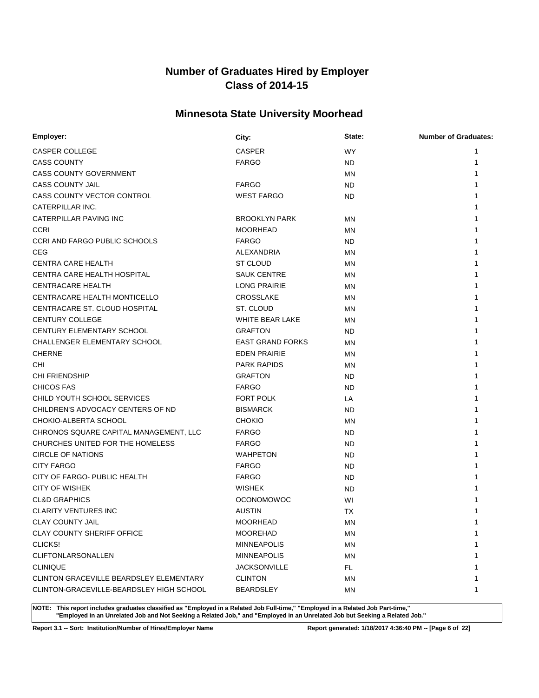# **Minnesota State University Moorhead**

| Employer:                                | City:                   | State:    | <b>Number of Graduates:</b> |
|------------------------------------------|-------------------------|-----------|-----------------------------|
| CASPER COLLEGE                           | <b>CASPER</b>           | <b>WY</b> |                             |
| <b>CASS COUNTY</b>                       | <b>FARGO</b>            | ND        | 1                           |
| <b>CASS COUNTY GOVERNMENT</b>            |                         | <b>MN</b> |                             |
| <b>CASS COUNTY JAIL</b>                  | <b>FARGO</b>            | ND.       |                             |
| CASS COUNTY VECTOR CONTROL               | <b>WEST FARGO</b>       | ND.       |                             |
| CATERPILLAR INC.                         |                         |           |                             |
| CATERPILLAR PAVING INC                   | <b>BROOKLYN PARK</b>    | <b>MN</b> |                             |
| <b>CCRI</b>                              | <b>MOORHEAD</b>         | MN        |                             |
| <b>CCRI AND FARGO PUBLIC SCHOOLS</b>     | <b>FARGO</b>            | ND.       |                             |
| <b>CEG</b>                               | ALEXANDRIA              | MN        |                             |
| <b>CENTRA CARE HEALTH</b>                | <b>ST CLOUD</b>         | <b>MN</b> |                             |
| CENTRA CARE HEALTH HOSPITAL              | <b>SAUK CENTRE</b>      | ΜN        |                             |
| <b>CENTRACARE HEALTH</b>                 | <b>LONG PRAIRIE</b>     | <b>MN</b> |                             |
| <b>CENTRACARE HEALTH MONTICELLO</b>      | CROSSLAKE               | MN        |                             |
| CENTRACARE ST. CLOUD HOSPITAL            | ST. CLOUD               | <b>MN</b> |                             |
| <b>CENTURY COLLEGE</b>                   | WHITE BEAR LAKE         | ΜN        |                             |
| CENTURY ELEMENTARY SCHOOL                | <b>GRAFTON</b>          | <b>ND</b> |                             |
| CHALLENGER ELEMENTARY SCHOOL             | <b>EAST GRAND FORKS</b> | <b>MN</b> |                             |
| <b>CHERNE</b>                            | <b>EDEN PRAIRIE</b>     | <b>MN</b> |                             |
| <b>CHI</b>                               | <b>PARK RAPIDS</b>      | <b>MN</b> |                             |
| <b>CHI FRIENDSHIP</b>                    | <b>GRAFTON</b>          | ND.       |                             |
| <b>CHICOS FAS</b>                        | <b>FARGO</b>            | <b>ND</b> |                             |
| CHILD YOUTH SCHOOL SERVICES              | FORT POLK               | LA        |                             |
| CHILDREN'S ADVOCACY CENTERS OF ND        | <b>BISMARCK</b>         | ND.       |                             |
| CHOKIO-ALBERTA SCHOOL                    | <b>CHOKIO</b>           | <b>MN</b> |                             |
| CHRONOS SQUARE CAPITAL MANAGEMENT, LLC   | <b>FARGO</b>            | ND        |                             |
| CHURCHES UNITED FOR THE HOMELESS         | <b>FARGO</b>            | ND.       |                             |
| <b>CIRCLE OF NATIONS</b>                 | <b>WAHPETON</b>         | ND.       |                             |
| <b>CITY FARGO</b>                        | <b>FARGO</b>            | ND.       |                             |
| CITY OF FARGO- PUBLIC HEALTH             | <b>FARGO</b>            | ND        |                             |
| <b>CITY OF WISHEK</b>                    | <b>WISHEK</b>           | ND        |                             |
| <b>CL&amp;D GRAPHICS</b>                 | <b>OCONOMOWOC</b>       | WI        |                             |
| <b>CLARITY VENTURES INC</b>              | <b>AUSTIN</b>           | <b>TX</b> |                             |
| <b>CLAY COUNTY JAIL</b>                  | <b>MOORHEAD</b>         | MN        | 1                           |
| <b>CLAY COUNTY SHERIFF OFFICE</b>        | <b>MOOREHAD</b>         | MN        | 1                           |
| CLICKS!                                  | <b>MINNEAPOLIS</b>      | ΜN        |                             |
| CLIFTONLARSONALLEN                       | <b>MINNEAPOLIS</b>      | <b>MN</b> |                             |
| <b>CLINIQUE</b>                          | <b>JACKSONVILLE</b>     | FL.       |                             |
| CLINTON GRACEVILLE BEARDSLEY ELEMENTARY  | <b>CLINTON</b>          | ΜN        | 1                           |
| CLINTON-GRACEVILLE-BEARDSLEY HIGH SCHOOL | <b>BEARDSLEY</b>        | ΜN        | 1                           |

**NOTE: This report includes graduates classified as "Employed in a Related Job Full-time," "Employed in a Related Job Part-time," "Employed in an Unrelated Job and Not Seeking a Related Job," and "Employed in an Unrelated Job but Seeking a Related Job."**

**Report 3.1 -- Sort: Institution/Number of Hires/Employer Name Report generated: 1/18/2017 4:36:40 PM -- [Page 6 of 22]**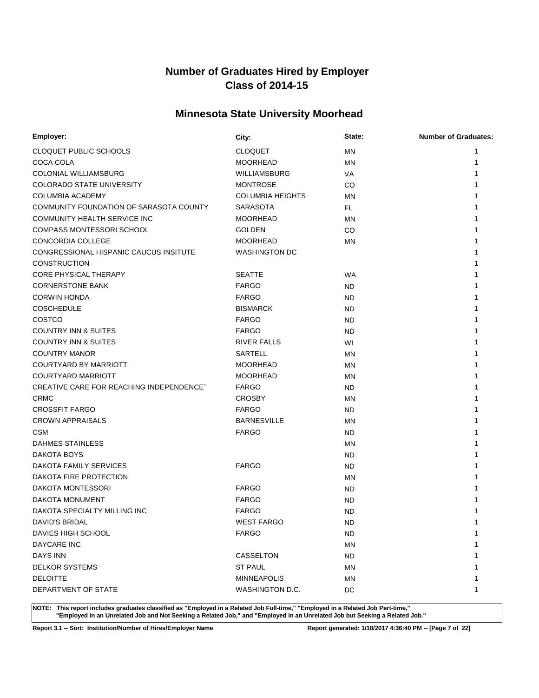# **Minnesota State University Moorhead**

| Employer:                                       | City:                   | State:    | <b>Number of Graduates:</b> |
|-------------------------------------------------|-------------------------|-----------|-----------------------------|
| CLOQUET PUBLIC SCHOOLS                          | <b>CLOQUET</b>          | ΜN        | 1                           |
| COCA COLA                                       | <b>MOORHEAD</b>         | ΜN        | 1                           |
| COLONIAL WILLIAMSBURG                           | WILLIAMSBURG            | VA        |                             |
| <b>COLORADO STATE UNIVERSITY</b>                | <b>MONTROSE</b>         | CO        |                             |
| <b>COLUMBIA ACADEMY</b>                         | <b>COLUMBIA HEIGHTS</b> | ΜN        |                             |
| COMMUNITY FOUNDATION OF SARASOTA COUNTY         | <b>SARASOTA</b>         | <b>FL</b> |                             |
| COMMUNITY HEALTH SERVICE INC                    | <b>MOORHEAD</b>         | ΜN        |                             |
| <b>COMPASS MONTESSORI SCHOOL</b>                | <b>GOLDEN</b>           | CO        |                             |
| <b>CONCORDIA COLLEGE</b>                        | <b>MOORHEAD</b>         | ΜN        |                             |
| CONGRESSIONAL HISPANIC CAUCUS INSITUTE          | <b>WASHINGTON DC</b>    |           |                             |
| <b>CONSTRUCTION</b>                             |                         |           |                             |
| <b>CORE PHYSICAL THERAPY</b>                    | <b>SEATTE</b>           | <b>WA</b> |                             |
| <b>CORNERSTONE BANK</b>                         | <b>FARGO</b>            | <b>ND</b> |                             |
| <b>CORWIN HONDA</b>                             | <b>FARGO</b>            | ND        |                             |
| <b>COSCHEDULE</b>                               | <b>BISMARCK</b>         | <b>ND</b> |                             |
| COSTCO                                          | <b>FARGO</b>            | ND        |                             |
| <b>COUNTRY INN &amp; SUITES</b>                 | <b>FARGO</b>            | <b>ND</b> |                             |
| <b>COUNTRY INN &amp; SUITES</b>                 | <b>RIVER FALLS</b>      | WI        |                             |
| <b>COUNTRY MANOR</b>                            | <b>SARTELL</b>          | ΜN        |                             |
| <b>COURTYARD BY MARRIOTT</b>                    | <b>MOORHEAD</b>         | ΜN        |                             |
| <b>COURTYARD MARRIOTT</b>                       | <b>MOORHEAD</b>         | ΜN        |                             |
| <b>CREATIVE CARE FOR REACHING INDEPENDENCE`</b> | <b>FARGO</b>            | ND.       |                             |
| <b>CRMC</b>                                     | <b>CROSBY</b>           | ΜN        |                             |
| <b>CROSSFIT FARGO</b>                           | <b>FARGO</b>            | ND.       |                             |
| <b>CROWN APPRAISALS</b>                         | <b>BARNESVILLE</b>      | <b>MN</b> |                             |
| <b>CSM</b>                                      | <b>FARGO</b>            | ND        |                             |
| <b>DAHMES STAINLESS</b>                         |                         | ΜN        |                             |
| DAKOTA BOYS                                     |                         | ND.       |                             |
| DAKOTA FAMILY SERVICES                          | <b>FARGO</b>            | ND        |                             |
| DAKOTA FIRE PROTECTION                          |                         | ΜN        |                             |
| <b>DAKOTA MONTESSORI</b>                        | <b>FARGO</b>            | ND        |                             |
| <b>DAKOTA MONUMENT</b>                          | <b>FARGO</b>            | <b>ND</b> |                             |
| DAKOTA SPECIALTY MILLING INC                    | <b>FARGO</b>            | <b>ND</b> |                             |
| DAVID'S BRIDAL                                  | <b>WEST FARGO</b>       | <b>ND</b> |                             |
| DAVIES HIGH SCHOOL                              | <b>FARGO</b>            | <b>ND</b> | 1                           |
| DAYCARE INC                                     |                         | <b>MN</b> |                             |
| DAYS INN                                        | CASSELTON               | <b>ND</b> |                             |
| <b>DELKOR SYSTEMS</b>                           | ST PAUL                 | MN        |                             |
| <b>DELOITTE</b>                                 | <b>MINNEAPOLIS</b>      | ΜN        |                             |
| DEPARTMENT OF STATE                             | WASHINGTON D.C.         | DC        | 1                           |

**NOTE: This report includes graduates classified as "Employed in a Related Job Full-time," "Employed in a Related Job Part-time," "Employed in an Unrelated Job and Not Seeking a Related Job," and "Employed in an Unrelated Job but Seeking a Related Job."**

**Report 3.1 -- Sort: Institution/Number of Hires/Employer Name Report generated: 1/18/2017 4:36:40 PM -- [Page 7 of 22]**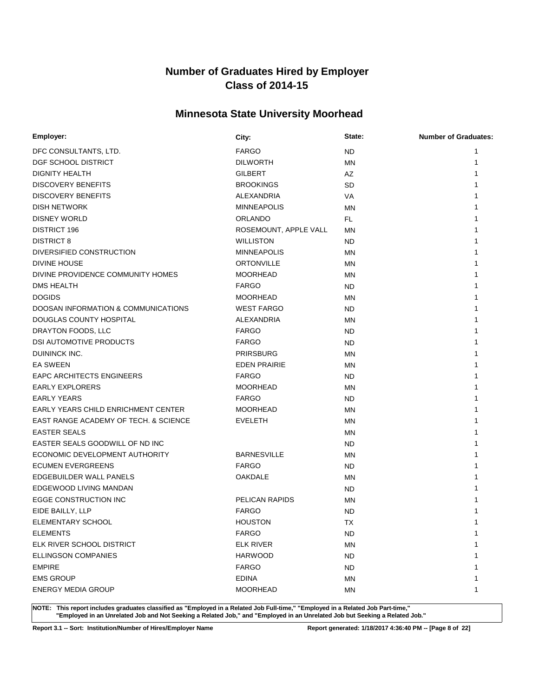# **Minnesota State University Moorhead**

| Employer:                                      | City:                 | State:    | <b>Number of Graduates:</b> |
|------------------------------------------------|-----------------------|-----------|-----------------------------|
| DFC CONSULTANTS, LTD.                          | <b>FARGO</b>          | <b>ND</b> | 1                           |
| DGF SCHOOL DISTRICT                            | <b>DILWORTH</b>       | <b>MN</b> | 1                           |
| <b>DIGNITY HEALTH</b>                          | <b>GILBERT</b>        | AZ        |                             |
| <b>DISCOVERY BENEFITS</b>                      | <b>BROOKINGS</b>      | <b>SD</b> |                             |
| <b>DISCOVERY BENEFITS</b>                      | ALEXANDRIA            | VA        |                             |
| <b>DISH NETWORK</b>                            | <b>MINNEAPOLIS</b>    | MN        |                             |
| <b>DISNEY WORLD</b>                            | <b>ORLANDO</b>        | FL.       |                             |
| <b>DISTRICT 196</b>                            | ROSEMOUNT, APPLE VALL | <b>MN</b> |                             |
| <b>DISTRICT 8</b>                              | <b>WILLISTON</b>      | ND        |                             |
| DIVERSIFIED CONSTRUCTION                       | <b>MINNEAPOLIS</b>    | <b>MN</b> |                             |
| DIVINE HOUSE                                   | <b>ORTONVILLE</b>     | MN        |                             |
| DIVINE PROVIDENCE COMMUNITY HOMES              | <b>MOORHEAD</b>       | MN        |                             |
| DMS HEALTH                                     | <b>FARGO</b>          | ND.       |                             |
| <b>DOGIDS</b>                                  | <b>MOORHEAD</b>       | MN        |                             |
| <b>DOOSAN INFORMATION &amp; COMMUNICATIONS</b> | <b>WEST FARGO</b>     | ND.       |                             |
| DOUGLAS COUNTY HOSPITAL                        | ALEXANDRIA            | MN        |                             |
| DRAYTON FOODS, LLC                             | <b>FARGO</b>          | ND        |                             |
| <b>DSI AUTOMOTIVE PRODUCTS</b>                 | <b>FARGO</b>          | ND        |                             |
| DUININCK INC.                                  | <b>PRIRSBURG</b>      | <b>MN</b> |                             |
| <b>EA SWEEN</b>                                | <b>EDEN PRAIRIE</b>   | <b>MN</b> |                             |
| <b>EAPC ARCHITECTS ENGINEERS</b>               | <b>FARGO</b>          | ND.       |                             |
| <b>EARLY EXPLORERS</b>                         | <b>MOORHEAD</b>       | MN        |                             |
| <b>EARLY YEARS</b>                             | <b>FARGO</b>          | ND.       |                             |
| <b>EARLY YEARS CHILD ENRICHMENT CENTER</b>     | <b>MOORHEAD</b>       | <b>MN</b> |                             |
| EAST RANGE ACADEMY OF TECH. & SCIENCE          | <b>EVELETH</b>        | <b>MN</b> |                             |
| <b>EASTER SEALS</b>                            |                       | <b>MN</b> |                             |
| EASTER SEALS GOODWILL OF ND INC                |                       | ND.       |                             |
| ECONOMIC DEVELOPMENT AUTHORITY                 | <b>BARNESVILLE</b>    | ΜN        |                             |
| <b>ECUMEN EVERGREENS</b>                       | <b>FARGO</b>          | ND.       |                             |
| EDGEBUILDER WALL PANELS                        | <b>OAKDALE</b>        | <b>MN</b> |                             |
| EDGEWOOD LIVING MANDAN                         |                       | ND.       |                             |
| EGGE CONSTRUCTION INC                          | PELICAN RAPIDS        | <b>MN</b> |                             |
| EIDE BAILLY, LLP                               | <b>FARGO</b>          | <b>ND</b> |                             |
| ELEMENTARY SCHOOL                              | <b>HOUSTON</b>        | <b>TX</b> | 1                           |
| <b>ELEMENTS</b>                                | <b>FARGO</b>          | ND.       | 1                           |
| ELK RIVER SCHOOL DISTRICT                      | <b>ELK RIVER</b>      | <b>MN</b> |                             |
| ELLINGSON COMPANIES                            | <b>HARWOOD</b>        | ND.       |                             |
| <b>EMPIRE</b>                                  | <b>FARGO</b>          | ND.       |                             |
| <b>EMS GROUP</b>                               | <b>EDINA</b>          | ΜN        |                             |
| <b>ENERGY MEDIA GROUP</b>                      | <b>MOORHEAD</b>       | ΜN        | 1                           |

**NOTE: This report includes graduates classified as "Employed in a Related Job Full-time," "Employed in a Related Job Part-time," "Employed in an Unrelated Job and Not Seeking a Related Job," and "Employed in an Unrelated Job but Seeking a Related Job."**

**Report 3.1 -- Sort: Institution/Number of Hires/Employer Name Report generated: 1/18/2017 4:36:40 PM -- [Page 8 of 22]**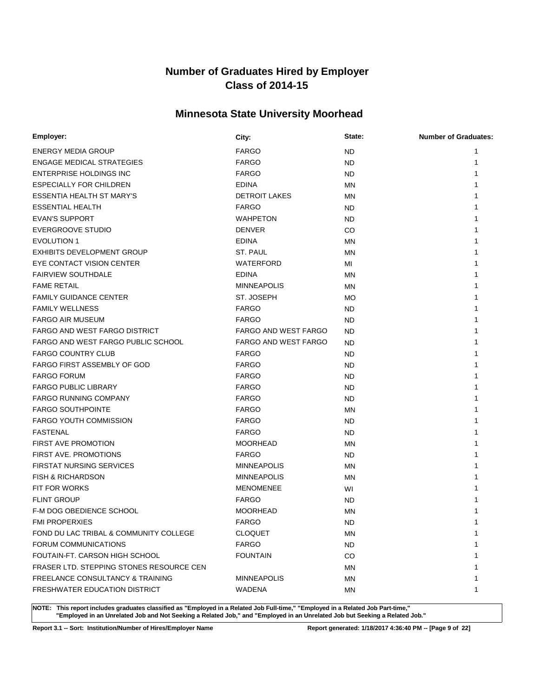# **Minnesota State University Moorhead**

| Employer:                                | City:                       | State:    | <b>Number of Graduates:</b> |
|------------------------------------------|-----------------------------|-----------|-----------------------------|
| <b>ENERGY MEDIA GROUP</b>                | <b>FARGO</b>                | <b>ND</b> |                             |
| <b>ENGAGE MEDICAL STRATEGIES</b>         | <b>FARGO</b>                | ND        | 1                           |
| <b>ENTERPRISE HOLDINGS INC</b>           | <b>FARGO</b>                | ND        |                             |
| <b>ESPECIALLY FOR CHILDREN</b>           | <b>EDINA</b>                | <b>MN</b> |                             |
| <b>ESSENTIA HEALTH ST MARY'S</b>         | <b>DETROIT LAKES</b>        | ΜN        |                             |
| <b>ESSENTIAL HEALTH</b>                  | <b>FARGO</b>                | ND        |                             |
| <b>EVAN'S SUPPORT</b>                    | <b>WAHPETON</b>             | ND.       |                             |
| <b>EVERGROOVE STUDIO</b>                 | <b>DENVER</b>               | CO.       |                             |
| <b>EVOLUTION 1</b>                       | <b>EDINA</b>                | MN        |                             |
| <b>EXHIBITS DEVELOPMENT GROUP</b>        | ST. PAUL                    | <b>MN</b> |                             |
| EYE CONTACT VISION CENTER                | WATERFORD                   | МI        |                             |
| <b>FAIRVIEW SOUTHDALE</b>                | <b>EDINA</b>                | <b>MN</b> |                             |
| <b>FAME RETAIL</b>                       | <b>MINNEAPOLIS</b>          | ΜN        |                             |
| <b>FAMILY GUIDANCE CENTER</b>            | ST. JOSEPH                  | MO        |                             |
| <b>FAMILY WELLNESS</b>                   | <b>FARGO</b>                | ND        |                             |
| <b>FARGO AIR MUSEUM</b>                  | <b>FARGO</b>                | <b>ND</b> |                             |
| FARGO AND WEST FARGO DISTRICT            | <b>FARGO AND WEST FARGO</b> | <b>ND</b> |                             |
| FARGO AND WEST FARGO PUBLIC SCHOOL       | <b>FARGO AND WEST FARGO</b> | <b>ND</b> |                             |
| <b>FARGO COUNTRY CLUB</b>                | <b>FARGO</b>                | ND.       |                             |
| <b>FARGO FIRST ASSEMBLY OF GOD</b>       | <b>FARGO</b>                | ND        |                             |
| <b>FARGO FORUM</b>                       | <b>FARGO</b>                | ND        |                             |
| <b>FARGO PUBLIC LIBRARY</b>              | <b>FARGO</b>                | ND        |                             |
| <b>FARGO RUNNING COMPANY</b>             | <b>FARGO</b>                | ND.       |                             |
| <b>FARGO SOUTHPOINTE</b>                 | <b>FARGO</b>                | <b>MN</b> |                             |
| <b>FARGO YOUTH COMMISSION</b>            | <b>FARGO</b>                | ND        |                             |
| <b>FASTENAL</b>                          | <b>FARGO</b>                | ND        |                             |
| <b>FIRST AVE PROMOTION</b>               | <b>MOORHEAD</b>             | ΜN        |                             |
| <b>FIRST AVE. PROMOTIONS</b>             | <b>FARGO</b>                | ND.       |                             |
| <b>FIRSTAT NURSING SERVICES</b>          | <b>MINNEAPOLIS</b>          | ΜN        |                             |
| <b>FISH &amp; RICHARDSON</b>             | <b>MINNEAPOLIS</b>          | MN        |                             |
| <b>FIT FOR WORKS</b>                     | <b>MENOMENEE</b>            | WI        |                             |
| <b>FLINT GROUP</b>                       | <b>FARGO</b>                | <b>ND</b> |                             |
| F-M DOG OBEDIENCE SCHOOL                 | <b>MOORHEAD</b>             | ΜN        |                             |
| FMI PROPERXIES                           | <b>FARGO</b>                | <b>ND</b> | 1                           |
| FOND DU LAC TRIBAL & COMMUNITY COLLEGE   | <b>CLOQUET</b>              | ΜN        | 1                           |
| <b>FORUM COMMUNICATIONS</b>              | <b>FARGO</b>                | <b>ND</b> | 1                           |
| FOUTAIN-FT. CARSON HIGH SCHOOL           | <b>FOUNTAIN</b>             | CO        | 1                           |
| FRASER LTD. STEPPING STONES RESOURCE CEN |                             | ΜN        | 1                           |
| FREELANCE CONSULTANCY & TRAINING         | <b>MINNEAPOLIS</b>          | ΜN        | 1                           |
| FRESHWATER EDUCATION DISTRICT            | WADENA                      | ΜN        | 1                           |

**NOTE: This report includes graduates classified as "Employed in a Related Job Full-time," "Employed in a Related Job Part-time," "Employed in an Unrelated Job and Not Seeking a Related Job," and "Employed in an Unrelated Job but Seeking a Related Job."**

**Report 3.1 -- Sort: Institution/Number of Hires/Employer Name Report generated: 1/18/2017 4:36:40 PM -- [Page 9 of 22]**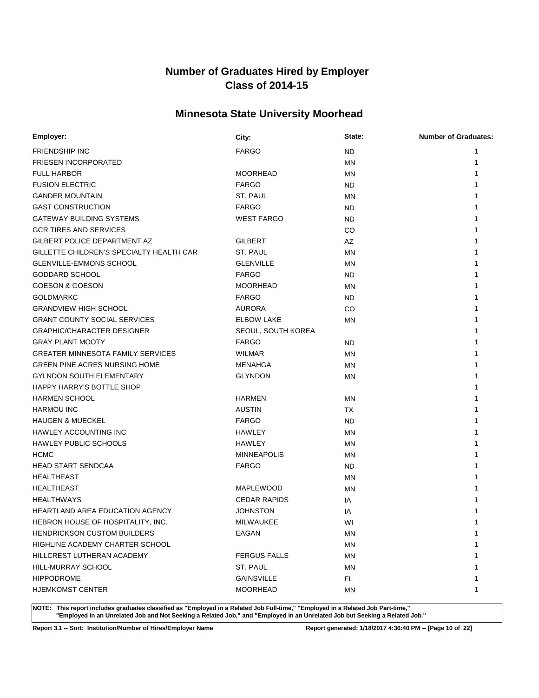# **Minnesota State University Moorhead**

| Employer:                                | City:               | State:    | <b>Number of Graduates:</b> |
|------------------------------------------|---------------------|-----------|-----------------------------|
| <b>FRIENDSHIP INC</b>                    | <b>FARGO</b>        | ND.       | 1                           |
| <b>FRIESEN INCORPORATED</b>              |                     | MN        | 1                           |
| <b>FULL HARBOR</b>                       | <b>MOORHEAD</b>     | MN        | 1                           |
| <b>FUSION ELECTRIC</b>                   | <b>FARGO</b>        | ND.       |                             |
| <b>GANDER MOUNTAIN</b>                   | ST. PAUL            | MN        |                             |
| <b>GAST CONSTRUCTION</b>                 | <b>FARGO</b>        | ND.       |                             |
| <b>GATEWAY BUILDING SYSTEMS</b>          | <b>WEST FARGO</b>   | ND.       |                             |
| <b>GCR TIRES AND SERVICES</b>            |                     | CO        |                             |
| GILBERT POLICE DEPARTMENT AZ             | <b>GILBERT</b>      | AZ        |                             |
| GILLETTE CHILDREN'S SPECIALTY HEALTH CAR | ST. PAUL            | <b>MN</b> |                             |
| <b>GLENVILLE-EMMONS SCHOOL</b>           | <b>GLENVILLE</b>    | <b>MN</b> |                             |
| <b>GODDARD SCHOOL</b>                    | <b>FARGO</b>        | ND.       |                             |
| <b>GOESON &amp; GOESON</b>               | <b>MOORHEAD</b>     | MN        |                             |
| <b>GOLDMARKC</b>                         | <b>FARGO</b>        | ND.       |                             |
| <b>GRANDVIEW HIGH SCHOOL</b>             | <b>AURORA</b>       | CO        |                             |
| <b>GRANT COUNTY SOCIAL SERVICES</b>      | <b>ELBOW LAKE</b>   | ΜN        |                             |
| <b>GRAPHIC/CHARACTER DESIGNER</b>        | SEOUL, SOUTH KOREA  |           |                             |
| <b>GRAY PLANT MOOTY</b>                  | <b>FARGO</b>        | ND.       |                             |
| <b>GREATER MINNESOTA FAMILY SERVICES</b> | <b>WILMAR</b>       | MN        |                             |
| <b>GREEN PINE ACRES NURSING HOME</b>     | <b>MENAHGA</b>      | MN        |                             |
| <b>GYLNDON SOUTH ELEMENTARY</b>          | <b>GLYNDON</b>      | MN        |                             |
| HAPPY HARRY'S BOTTLE SHOP                |                     |           |                             |
| <b>HARMEN SCHOOL</b>                     | <b>HARMEN</b>       | MN        |                             |
| <b>HARMOU INC</b>                        | <b>AUSTIN</b>       | TX        |                             |
| <b>HAUGEN &amp; MUECKEL</b>              | <b>FARGO</b>        | ND.       |                             |
| <b>HAWLEY ACCOUNTING INC</b>             | HAWLEY              | <b>MN</b> |                             |
| <b>HAWLEY PUBLIC SCHOOLS</b>             | <b>HAWLEY</b>       | MN        |                             |
| <b>HCMC</b>                              | <b>MINNEAPOLIS</b>  | ΜN        |                             |
| <b>HEAD START SENDCAA</b>                | <b>FARGO</b>        | ND.       |                             |
| <b>HEALTHEAST</b>                        |                     | MN        |                             |
| <b>HEALTHEAST</b>                        | <b>MAPLEWOOD</b>    | MN        |                             |
| <b>HEALTHWAYS</b>                        | <b>CEDAR RAPIDS</b> | IA        |                             |
| <b>HEARTLAND AREA EDUCATION AGENCY</b>   | <b>JOHNSTON</b>     | ΙA        |                             |
| HEBRON HOUSE OF HOSPITALITY, INC.        | <b>MILWAUKEE</b>    | WI        | 1                           |
| <b>HENDRICKSON CUSTOM BUILDERS</b>       | EAGAN               | ΜN        | 1                           |
| HIGHLINE ACADEMY CHARTER SCHOOL          |                     | ΜN        |                             |
| HILLCREST LUTHERAN ACADEMY               | <b>FERGUS FALLS</b> | ΜN        |                             |
| HILL-MURRAY SCHOOL                       | ST. PAUL            | ΜN        |                             |
| <b>HIPPODROME</b>                        | <b>GAINSVILLE</b>   | FL.       |                             |
| <b>HJEMKOMST CENTER</b>                  | <b>MOORHEAD</b>     | ΜN        | 1                           |

**NOTE: This report includes graduates classified as "Employed in a Related Job Full-time," "Employed in a Related Job Part-time," "Employed in an Unrelated Job and Not Seeking a Related Job," and "Employed in an Unrelated Job but Seeking a Related Job."**

**Report 3.1 -- Sort: Institution/Number of Hires/Employer Name Report generated: 1/18/2017 4:36:40 PM -- [Page 10 of 22]**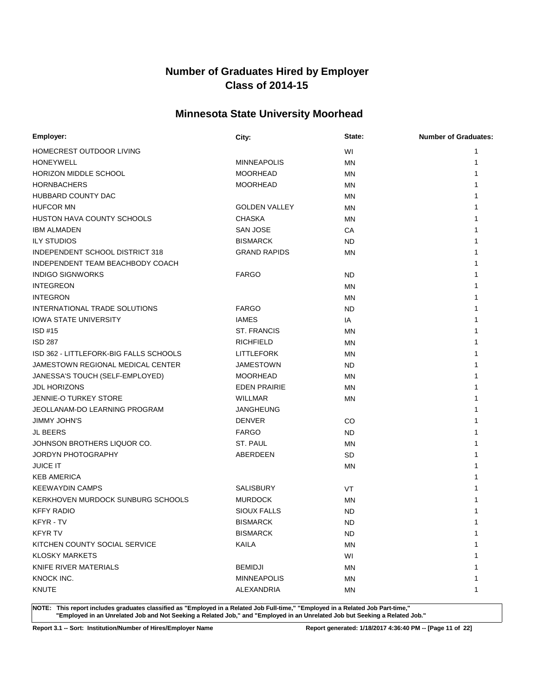# **Minnesota State University Moorhead**

| Employer:                              | City:                | State:    | <b>Number of Graduates:</b> |
|----------------------------------------|----------------------|-----------|-----------------------------|
| HOMECREST OUTDOOR LIVING               |                      | WI        | 1                           |
| <b>HONEYWELL</b>                       | <b>MINNEAPOLIS</b>   | <b>MN</b> | 1                           |
| HORIZON MIDDLE SCHOOL                  | <b>MOORHEAD</b>      | <b>MN</b> | 1                           |
| <b>HORNBACHERS</b>                     | <b>MOORHEAD</b>      | MN        |                             |
| HUBBARD COUNTY DAC                     |                      | MN        |                             |
| <b>HUFCOR MN</b>                       | <b>GOLDEN VALLEY</b> | MN        |                             |
| HUSTON HAVA COUNTY SCHOOLS             | <b>CHASKA</b>        | <b>MN</b> |                             |
| <b>IBM ALMADEN</b>                     | <b>SAN JOSE</b>      | CA        |                             |
| <b>ILY STUDIOS</b>                     | <b>BISMARCK</b>      | <b>ND</b> |                             |
| INDEPENDENT SCHOOL DISTRICT 318        | <b>GRAND RAPIDS</b>  | MN        |                             |
| INDEPENDENT TEAM BEACHBODY COACH       |                      |           |                             |
| <b>INDIGO SIGNWORKS</b>                | <b>FARGO</b>         | ND        |                             |
| <b>INTEGREON</b>                       |                      | <b>MN</b> |                             |
| <b>INTEGRON</b>                        |                      | MN        |                             |
| INTERNATIONAL TRADE SOLUTIONS          | <b>FARGO</b>         | <b>ND</b> |                             |
| <b>IOWA STATE UNIVERSITY</b>           | <b>IAMES</b>         | ΙA        |                             |
| ISD#15                                 | <b>ST. FRANCIS</b>   | <b>MN</b> |                             |
| <b>ISD 287</b>                         | <b>RICHFIELD</b>     | MN        |                             |
| ISD 362 - LITTLEFORK-BIG FALLS SCHOOLS | <b>LITTLEFORK</b>    | MN        |                             |
| JAMESTOWN REGIONAL MEDICAL CENTER      | <b>JAMESTOWN</b>     | ND        |                             |
| JANESSA'S TOUCH (SELF-EMPLOYED)        | <b>MOORHEAD</b>      | MN        |                             |
| <b>JDL HORIZONS</b>                    | <b>EDEN PRAIRIE</b>  | MN        | 1                           |
| <b>JENNIE-O TURKEY STORE</b>           | <b>WILLMAR</b>       | <b>MN</b> |                             |
| JEOLLANAM-DO LEARNING PROGRAM          | <b>JANGHEUNG</b>     |           |                             |
| <b>JIMMY JOHN'S</b>                    | <b>DENVER</b>        | CO        |                             |
| <b>JL BEERS</b>                        | <b>FARGO</b>         | ND        |                             |
| JOHNSON BROTHERS LIQUOR CO.            | ST. PAUL             | ΜN        |                             |
| JORDYN PHOTOGRAPHY                     | ABERDEEN             | <b>SD</b> |                             |
| <b>JUICE IT</b>                        |                      | <b>MN</b> |                             |
| <b>KEB AMERICA</b>                     |                      |           |                             |
| <b>KEEWAYDIN CAMPS</b>                 | SALISBURY            | <b>VT</b> |                             |
| KERKHOVEN MURDOCK SUNBURG SCHOOLS      | <b>MURDOCK</b>       | MN        |                             |
| <b>KFFY RADIO</b>                      | <b>SIOUX FALLS</b>   | <b>ND</b> |                             |
| KFYR - TV                              | <b>BISMARCK</b>      | <b>ND</b> | 1                           |
| <b>KFYR TV</b>                         | <b>BISMARCK</b>      | <b>ND</b> | 1                           |
| KITCHEN COUNTY SOCIAL SERVICE          | KAILA                | <b>MN</b> |                             |
| <b>KLOSKY MARKETS</b>                  |                      | WI        |                             |
| KNIFE RIVER MATERIALS                  | <b>BEMIDJI</b>       | ΜN        |                             |
| KNOCK INC.                             | <b>MINNEAPOLIS</b>   | ΜN        |                             |
| <b>KNUTE</b>                           | ALEXANDRIA           | ΜN        | 1                           |
|                                        |                      |           |                             |

**NOTE: This report includes graduates classified as "Employed in a Related Job Full-time," "Employed in a Related Job Part-time," "Employed in an Unrelated Job and Not Seeking a Related Job," and "Employed in an Unrelated Job but Seeking a Related Job."**

**Report 3.1 -- Sort: Institution/Number of Hires/Employer Name Report generated: 1/18/2017 4:36:40 PM -- [Page 11 of 22]**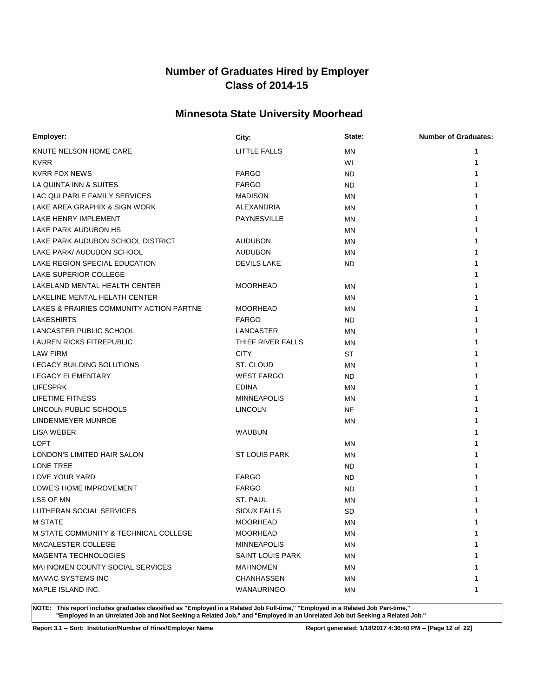# **Minnesota State University Moorhead**

| KNUTE NELSON HOME CARE<br>LITTLE FALLS<br><b>MN</b><br>1<br><b>KVRR</b><br>WI<br>1 |  |
|------------------------------------------------------------------------------------|--|
|                                                                                    |  |
|                                                                                    |  |
| <b>KVRR FOX NEWS</b><br><b>FARGO</b><br><b>ND</b><br>1                             |  |
| LA QUINTA INN & SUITES<br><b>FARGO</b><br><b>ND</b>                                |  |
| LAC QUI PARLE FAMILY SERVICES<br><b>MADISON</b><br><b>MN</b>                       |  |
| LAKE AREA GRAPHIX & SIGN WORK<br>ALEXANDRIA<br>ΜN                                  |  |
| LAKE HENRY IMPLEMENT<br><b>PAYNESVILLE</b><br>ΜN                                   |  |
| LAKE PARK AUDUBON HS<br>ΜN                                                         |  |
| LAKE PARK AUDUBON SCHOOL DISTRICT<br><b>AUDUBON</b><br>MN                          |  |
| LAKE PARK/ AUDUBON SCHOOL<br><b>AUDUBON</b><br>MN                                  |  |
| LAKE REGION SPECIAL EDUCATION<br><b>DEVILS LAKE</b><br>ND.                         |  |
| LAKE SUPERIOR COLLEGE                                                              |  |
| LAKELAND MENTAL HEALTH CENTER<br><b>MOORHEAD</b><br>MN                             |  |
| LAKELINE MENTAL HELATH CENTER<br>MN                                                |  |
| LAKES & PRAIRIES COMMUNITY ACTION PARTNE<br><b>MOORHEAD</b><br><b>MN</b>           |  |
| <b>LAKESHIRTS</b><br><b>FARGO</b><br>ND.                                           |  |
| LANCASTER PUBLIC SCHOOL<br>LANCASTER<br><b>MN</b>                                  |  |
| <b>LAUREN RICKS FITREPUBLIC</b><br>THIEF RIVER FALLS<br>MN                         |  |
| <b>CITY</b><br>LAW FIRM<br>ST                                                      |  |
| LEGACY BUILDING SOLUTIONS<br>ST. CLOUD<br>ΜN                                       |  |
| <b>LEGACY ELEMENTARY</b><br><b>WEST FARGO</b><br>ND.                               |  |
| <b>LIFESPRK</b><br><b>EDINA</b><br>ΜN                                              |  |
| LIFETIME FITNESS<br><b>MINNEAPOLIS</b><br><b>MN</b>                                |  |
| LINCOLN PUBLIC SCHOOLS<br><b>LINCOLN</b><br><b>NE</b>                              |  |
| LINDENMEYER MUNROE<br><b>MN</b>                                                    |  |
| LISA WEBER<br>WAUBUN                                                               |  |
| LOFT<br>MN                                                                         |  |
| LONDON'S LIMITED HAIR SALON<br><b>ST LOUIS PARK</b><br>MN                          |  |
| LONE TREE<br>ND.                                                                   |  |
| LOVE YOUR YARD<br><b>FARGO</b><br><b>ND</b>                                        |  |
| LOWE'S HOME IMPROVEMENT<br><b>FARGO</b><br>ND.                                     |  |
| LSS OF MN<br>ST. PAUL<br>MN                                                        |  |
| LUTHERAN SOCIAL SERVICES<br><b>SIOUX FALLS</b><br><b>SD</b>                        |  |
| <b>M STATE</b><br><b>MOORHEAD</b><br>1<br>ΜN                                       |  |
| M STATE COMMUNITY & TECHNICAL COLLEGE<br><b>MOORHEAD</b><br>1<br>MN                |  |
| MACALESTER COLLEGE<br><b>MINNEAPOLIS</b><br>ΜN                                     |  |
| <b>MAGENTA TECHNOLOGIES</b><br><b>SAINT LOUIS PARK</b><br>ΜN                       |  |
| <b>MAHNOMEN COUNTY SOCIAL SERVICES</b><br><b>MAHNOMEN</b><br>ΜN                    |  |
| <b>MAMAC SYSTEMS INC</b><br><b>CHANHASSEN</b><br>ΜN<br>1                           |  |
| MAPLE ISLAND INC.<br>WANAURINGO<br>ΜN<br>1                                         |  |

**NOTE: This report includes graduates classified as "Employed in a Related Job Full-time," "Employed in a Related Job Part-time," "Employed in an Unrelated Job and Not Seeking a Related Job," and "Employed in an Unrelated Job but Seeking a Related Job."**

**Report 3.1 -- Sort: Institution/Number of Hires/Employer Name Report generated: 1/18/2017 4:36:40 PM -- [Page 12 of 22]**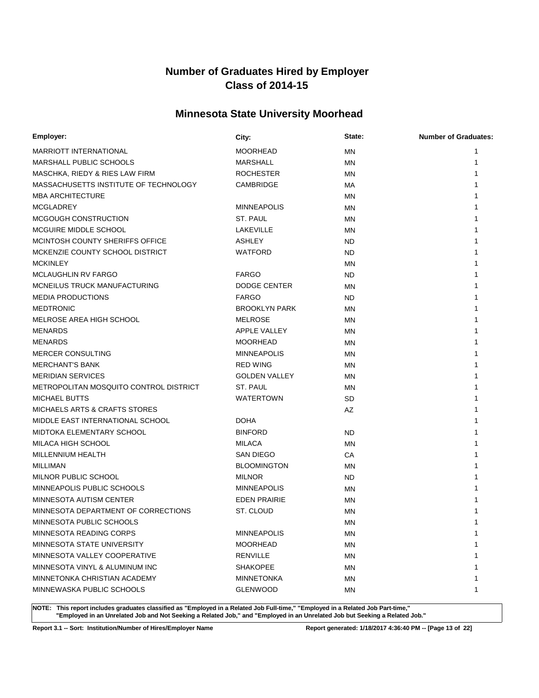# **Minnesota State University Moorhead**

| Employer:                                | City:                | State:    | <b>Number of Graduates:</b> |
|------------------------------------------|----------------------|-----------|-----------------------------|
| <b>MARRIOTT INTERNATIONAL</b>            | <b>MOORHEAD</b>      | <b>MN</b> | 1                           |
| <b>MARSHALL PUBLIC SCHOOLS</b>           | <b>MARSHALL</b>      | MN        | 1                           |
| MASCHKA, RIEDY & RIES LAW FIRM           | <b>ROCHESTER</b>     | MN        |                             |
| MASSACHUSETTS INSTITUTE OF TECHNOLOGY    | <b>CAMBRIDGE</b>     | МA        |                             |
| <b>MBA ARCHITECTURE</b>                  |                      | ΜN        |                             |
| <b>MCGLADREY</b>                         | <b>MINNEAPOLIS</b>   | ΜN        |                             |
| MCGOUGH CONSTRUCTION                     | ST. PAUL             | ΜN        |                             |
| MCGUIRE MIDDLE SCHOOL                    | LAKEVILLE            | MN        |                             |
| MCINTOSH COUNTY SHERIFFS OFFICE          | <b>ASHLEY</b>        | ND.       |                             |
| MCKENZIE COUNTY SCHOOL DISTRICT          | <b>WATFORD</b>       | ND.       |                             |
| <b>MCKINLEY</b>                          |                      | <b>MN</b> |                             |
| <b>MCLAUGHLIN RV FARGO</b>               | <b>FARGO</b>         | ND.       |                             |
| MCNEILUS TRUCK MANUFACTURING             | DODGE CENTER         | <b>MN</b> |                             |
| <b>MEDIA PRODUCTIONS</b>                 | <b>FARGO</b>         | ND.       |                             |
| <b>MEDTRONIC</b>                         | <b>BROOKLYN PARK</b> | MN        |                             |
| MELROSE AREA HIGH SCHOOL                 | <b>MELROSE</b>       | ΜN        |                             |
| MENARDS                                  | APPLE VALLEY         | ΜN        |                             |
| <b>MENARDS</b>                           | <b>MOORHEAD</b>      | ΜN        |                             |
| <b>MERCER CONSULTING</b>                 | <b>MINNEAPOLIS</b>   | ΜN        |                             |
| <b>MERCHANT'S BANK</b>                   | <b>RED WING</b>      | ΜN        |                             |
| <b>MERIDIAN SERVICES</b>                 | <b>GOLDEN VALLEY</b> | MN        |                             |
| METROPOLITAN MOSQUITO CONTROL DISTRICT   | ST. PAUL             | ΜN        |                             |
| <b>MICHAEL BUTTS</b>                     | <b>WATERTOWN</b>     | SD.       |                             |
| <b>MICHAELS ARTS &amp; CRAFTS STORES</b> |                      | AZ        |                             |
| MIDDLE EAST INTERNATIONAL SCHOOL         | <b>DOHA</b>          |           |                             |
| MIDTOKA ELEMENTARY SCHOOL                | <b>BINFORD</b>       | <b>ND</b> |                             |
| MILACA HIGH SCHOOL                       | <b>MILACA</b>        | ΜN        |                             |
| MILLENNIUM HEALTH                        | SAN DIEGO            | СA        |                             |
| MILLIMAN                                 | <b>BLOOMINGTON</b>   | ΜN        |                             |
| MILNOR PUBLIC SCHOOL                     | <b>MILNOR</b>        | ND.       |                             |
| MINNEAPOLIS PUBLIC SCHOOLS               | <b>MINNEAPOLIS</b>   | ΜN        |                             |
| MINNESOTA AUTISM CENTER                  | <b>EDEN PRAIRIE</b>  | MN        |                             |
| MINNESOTA DEPARTMENT OF CORRECTIONS      | ST. CLOUD            | ΜN        |                             |
| MINNESOTA PUBLIC SCHOOLS                 |                      | ΜN        | 1                           |
| MINNESOTA READING CORPS                  | <b>MINNEAPOLIS</b>   | ΜN        | 1                           |
| MINNESOTA STATE UNIVERSITY               | <b>MOORHEAD</b>      | ΜN        |                             |
| MINNESOTA VALLEY COOPERATIVE             | <b>RENVILLE</b>      | ΜN        |                             |
| MINNESOTA VINYL & ALUMINUM INC           | <b>SHAKOPEE</b>      | ΜN        |                             |
| MINNETONKA CHRISTIAN ACADEMY             | <b>MINNETONKA</b>    | ΜN        |                             |
| MINNEWASKA PUBLIC SCHOOLS                | <b>GLENWOOD</b>      | ΜN        | 1                           |

**NOTE: This report includes graduates classified as "Employed in a Related Job Full-time," "Employed in a Related Job Part-time," "Employed in an Unrelated Job and Not Seeking a Related Job," and "Employed in an Unrelated Job but Seeking a Related Job."**

**Report 3.1 -- Sort: Institution/Number of Hires/Employer Name Report generated: 1/18/2017 4:36:40 PM -- [Page 13 of 22]**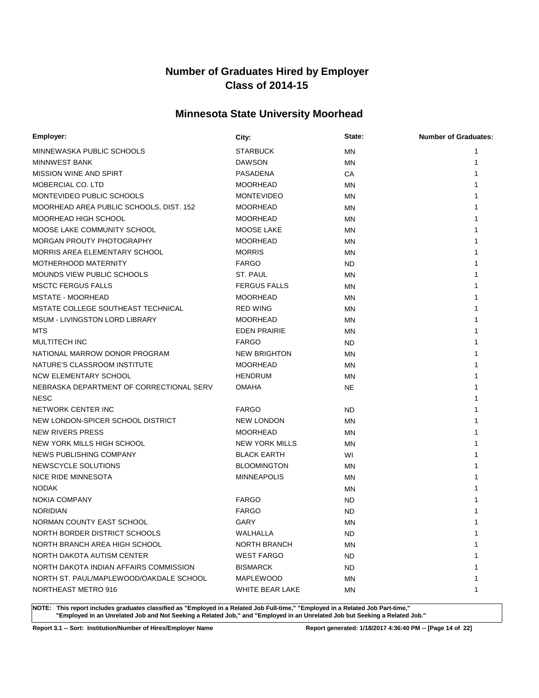# **Minnesota State University Moorhead**

| Employer:                                | City:                 | State:    | <b>Number of Graduates:</b> |
|------------------------------------------|-----------------------|-----------|-----------------------------|
| MINNEWASKA PUBLIC SCHOOLS                | <b>STARBUCK</b>       | MN        | 1                           |
| MINNWEST BANK                            | <b>DAWSON</b>         | <b>MN</b> |                             |
| <b>MISSION WINE AND SPIRT</b>            | PASADENA              | CA        |                             |
| MOBERCIAL CO. LTD                        | <b>MOORHEAD</b>       | MN        |                             |
| MONTEVIDEO PUBLIC SCHOOLS                | <b>MONTEVIDEO</b>     | <b>MN</b> |                             |
| MOORHEAD AREA PUBLIC SCHOOLS, DIST. 152  | <b>MOORHEAD</b>       | <b>MN</b> |                             |
| MOORHEAD HIGH SCHOOL                     | <b>MOORHEAD</b>       | <b>MN</b> |                             |
| MOOSE LAKE COMMUNITY SCHOOL              | MOOSE LAKE            | <b>MN</b> |                             |
| MORGAN PROUTY PHOTOGRAPHY                | <b>MOORHEAD</b>       | <b>MN</b> |                             |
| MORRIS AREA ELEMENTARY SCHOOL            | <b>MORRIS</b>         | ΜN        |                             |
| MOTHERHOOD MATERNITY                     | <b>FARGO</b>          | ND.       |                             |
| <b>MOUNDS VIEW PUBLIC SCHOOLS</b>        | ST. PAUL              | MN        |                             |
| <b>MSCTC FERGUS FALLS</b>                | <b>FERGUS FALLS</b>   | MN        |                             |
| MSTATE - MOORHEAD                        | <b>MOORHEAD</b>       | MN        |                             |
| MSTATE COLLEGE SOUTHEAST TECHNICAL       | <b>RED WING</b>       | <b>MN</b> |                             |
| <b>MSUM - LIVINGSTON LORD LIBRARY</b>    | <b>MOORHEAD</b>       | MN        |                             |
| MTS                                      | <b>EDEN PRAIRIE</b>   | <b>MN</b> |                             |
| <b>MULTITECH INC</b>                     | <b>FARGO</b>          | ND.       |                             |
| NATIONAL MARROW DONOR PROGRAM            | <b>NEW BRIGHTON</b>   | <b>MN</b> |                             |
| NATURE'S CLASSROOM INSTITUTE             | <b>MOORHEAD</b>       | <b>MN</b> |                             |
| <b>NCW ELEMENTARY SCHOOL</b>             | <b>HENDRUM</b>        | <b>MN</b> |                             |
| NEBRASKA DEPARTMENT OF CORRECTIONAL SERV | <b>OMAHA</b>          | NE        |                             |
| <b>NESC</b>                              |                       |           |                             |
| NETWORK CENTER INC                       | <b>FARGO</b>          | <b>ND</b> |                             |
| NEW LONDON-SPICER SCHOOL DISTRICT        | <b>NEW LONDON</b>     | <b>MN</b> |                             |
| <b>NEW RIVERS PRESS</b>                  | <b>MOORHEAD</b>       | ΜN        |                             |
| NEW YORK MILLS HIGH SCHOOL               | <b>NEW YORK MILLS</b> | ΜN        |                             |
| NEWS PUBLISHING COMPANY                  | <b>BLACK EARTH</b>    | WI        |                             |
| NEWSCYCLE SOLUTIONS                      | <b>BLOOMINGTON</b>    | <b>MN</b> |                             |
| NICE RIDE MINNESOTA                      | <b>MINNEAPOLIS</b>    | MN        |                             |
| <b>NODAK</b>                             |                       | MN        |                             |
| <b>NOKIA COMPANY</b>                     | <b>FARGO</b>          | ND        |                             |
| <b>NORIDIAN</b>                          | <b>FARGO</b>          | <b>ND</b> |                             |
| NORMAN COUNTY EAST SCHOOL                | GARY                  | ΜN        |                             |
| NORTH BORDER DISTRICT SCHOOLS            | WALHALLA              | ND.       | 1                           |
| NORTH BRANCH AREA HIGH SCHOOL            | <b>NORTH BRANCH</b>   | ΜN        | 1                           |
| NORTH DAKOTA AUTISM CENTER               | <b>WEST FARGO</b>     | ND.       | 1                           |
| NORTH DAKOTA INDIAN AFFAIRS COMMISSION   | <b>BISMARCK</b>       | ND.       |                             |
| NORTH ST. PAUL/MAPLEWOOD/OAKDALE SCHOOL  | MAPLEWOOD             | ΜN        | 1                           |
| NORTHEAST METRO 916                      | WHITE BEAR LAKE       | ΜN        | 1                           |

**NOTE: This report includes graduates classified as "Employed in a Related Job Full-time," "Employed in a Related Job Part-time," "Employed in an Unrelated Job and Not Seeking a Related Job," and "Employed in an Unrelated Job but Seeking a Related Job."**

**Report 3.1 -- Sort: Institution/Number of Hires/Employer Name Report generated: 1/18/2017 4:36:40 PM -- [Page 14 of 22]**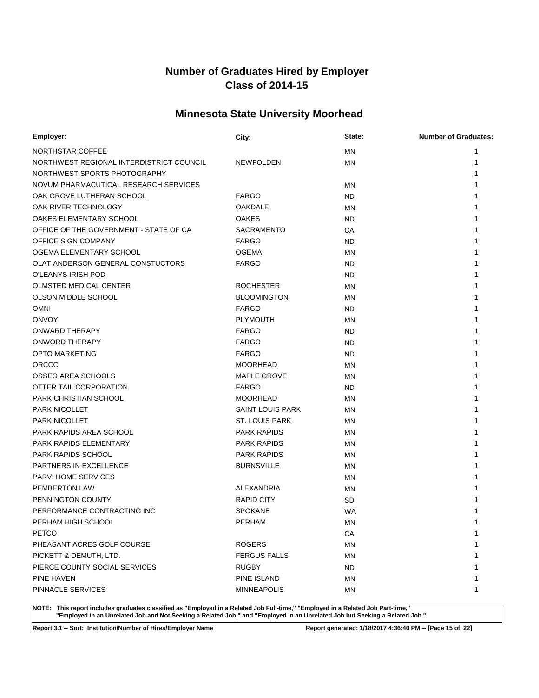# **Minnesota State University Moorhead**

| Employer:                                | City:                   | State:    | <b>Number of Graduates:</b> |
|------------------------------------------|-------------------------|-----------|-----------------------------|
| NORTHSTAR COFFEE                         |                         | <b>MN</b> |                             |
| NORTHWEST REGIONAL INTERDISTRICT COUNCIL | <b>NEWFOLDEN</b>        | MN        |                             |
| NORTHWEST SPORTS PHOTOGRAPHY             |                         |           |                             |
| NOVUM PHARMACUTICAL RESEARCH SERVICES    |                         | MN        |                             |
| OAK GROVE LUTHERAN SCHOOL                | <b>FARGO</b>            | ND        |                             |
| OAK RIVER TECHNOLOGY                     | <b>OAKDALE</b>          | MN        |                             |
| OAKES ELEMENTARY SCHOOL                  | <b>OAKES</b>            | ND        |                             |
| OFFICE OF THE GOVERNMENT - STATE OF CA   | <b>SACRAMENTO</b>       | СA        |                             |
| <b>OFFICE SIGN COMPANY</b>               | <b>FARGO</b>            | <b>ND</b> |                             |
| OGEMA ELEMENTARY SCHOOL                  | <b>OGEMA</b>            | MN        |                             |
| OLAT ANDERSON GENERAL CONSTUCTORS        | <b>FARGO</b>            | ND        |                             |
| O'LEANYS IRISH POD                       |                         | ND        |                             |
| OLMSTED MEDICAL CENTER                   | <b>ROCHESTER</b>        | <b>MN</b> |                             |
| OLSON MIDDLE SCHOOL                      | <b>BLOOMINGTON</b>      | ΜN        |                             |
| <b>OMNI</b>                              | <b>FARGO</b>            | <b>ND</b> |                             |
| <b>ONVOY</b>                             | <b>PLYMOUTH</b>         | MN        |                             |
| ONWARD THERAPY                           | <b>FARGO</b>            | <b>ND</b> |                             |
| ONWORD THERAPY                           | <b>FARGO</b>            | <b>ND</b> |                             |
| <b>OPTO MARKETING</b>                    | <b>FARGO</b>            | <b>ND</b> |                             |
| ORCCC                                    | <b>MOORHEAD</b>         | MN        |                             |
| <b>OSSEO AREA SCHOOLS</b>                | <b>MAPLE GROVE</b>      | <b>MN</b> |                             |
| OTTER TAIL CORPORATION                   | <b>FARGO</b>            | ND        |                             |
| PARK CHRISTIAN SCHOOL                    | <b>MOORHEAD</b>         | <b>MN</b> |                             |
| <b>PARK NICOLLET</b>                     | <b>SAINT LOUIS PARK</b> | MN        |                             |
| <b>PARK NICOLLET</b>                     | <b>ST. LOUIS PARK</b>   | <b>MN</b> |                             |
| PARK RAPIDS AREA SCHOOL                  | <b>PARK RAPIDS</b>      | ΜN        |                             |
| PARK RAPIDS ELEMENTARY                   | <b>PARK RAPIDS</b>      | ΜN        |                             |
| <b>PARK RAPIDS SCHOOL</b>                | <b>PARK RAPIDS</b>      | ΜN        |                             |
| <b>PARTNERS IN EXCELLENCE</b>            | <b>BURNSVILLE</b>       | <b>MN</b> |                             |
| <b>PARVI HOME SERVICES</b>               |                         | ΜN        |                             |
| PEMBERTON LAW                            | <b>ALEXANDRIA</b>       | ΜN        |                             |
| PENNINGTON COUNTY                        | <b>RAPID CITY</b>       | SD        |                             |
| PERFORMANCE CONTRACTING INC              | <b>SPOKANE</b>          | WA        |                             |
| PERHAM HIGH SCHOOL                       | <b>PERHAM</b>           | MN        | 1                           |
| <b>PETCO</b>                             |                         | CA        | 1                           |
| PHEASANT ACRES GOLF COURSE               | <b>ROGERS</b>           | <b>MN</b> |                             |
| PICKETT & DEMUTH, LTD.                   | <b>FERGUS FALLS</b>     | <b>MN</b> |                             |
| PIERCE COUNTY SOCIAL SERVICES            | <b>RUGBY</b>            | ND.       |                             |
| PINE HAVEN                               | PINE ISLAND             | ΜN        | 1                           |
| PINNACLE SERVICES                        | <b>MINNEAPOLIS</b>      | ΜN        | 1                           |

**NOTE: This report includes graduates classified as "Employed in a Related Job Full-time," "Employed in a Related Job Part-time," "Employed in an Unrelated Job and Not Seeking a Related Job," and "Employed in an Unrelated Job but Seeking a Related Job."**

**Report 3.1 -- Sort: Institution/Number of Hires/Employer Name Report generated: 1/18/2017 4:36:40 PM -- [Page 15 of 22]**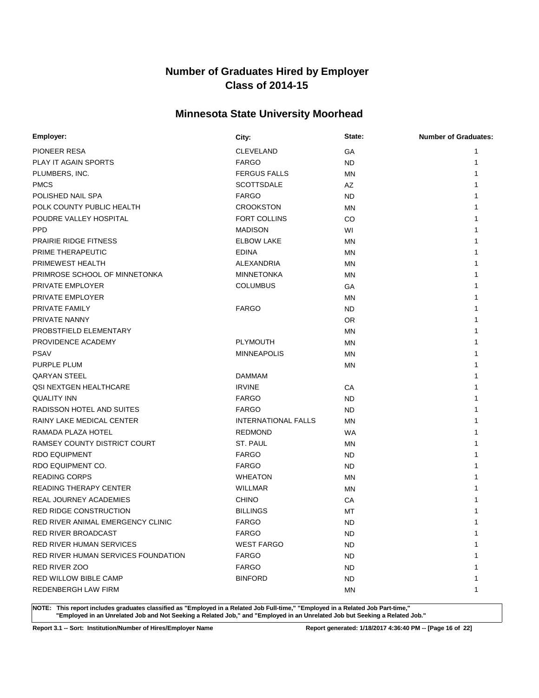# **Minnesota State University Moorhead**

| Employer:                           | City:                      | State:    | <b>Number of Graduates:</b> |
|-------------------------------------|----------------------------|-----------|-----------------------------|
| PIONEER RESA                        | <b>CLEVELAND</b>           | GA        | 1                           |
| PLAY IT AGAIN SPORTS                | <b>FARGO</b>               | <b>ND</b> | 1                           |
| PLUMBERS, INC.                      | <b>FERGUS FALLS</b>        | <b>MN</b> |                             |
| <b>PMCS</b>                         | <b>SCOTTSDALE</b>          | AZ        |                             |
| POLISHED NAIL SPA                   | <b>FARGO</b>               | <b>ND</b> |                             |
| POLK COUNTY PUBLIC HEALTH           | <b>CROOKSTON</b>           | <b>MN</b> |                             |
| POUDRE VALLEY HOSPITAL              | <b>FORT COLLINS</b>        | CO        |                             |
| <b>PPD</b>                          | <b>MADISON</b>             | WI        |                             |
| <b>PRAIRIE RIDGE FITNESS</b>        | <b>ELBOW LAKE</b>          | MN        |                             |
| PRIME THERAPEUTIC                   | <b>EDINA</b>               | <b>MN</b> |                             |
| PRIMEWEST HEALTH                    | ALEXANDRIA                 | <b>MN</b> |                             |
| PRIMROSE SCHOOL OF MINNETONKA       | <b>MINNETONKA</b>          | <b>MN</b> |                             |
| PRIVATE EMPLOYER                    | <b>COLUMBUS</b>            | GA        |                             |
| PRIVATE EMPLOYER                    |                            | <b>MN</b> |                             |
| PRIVATE FAMILY                      | <b>FARGO</b>               | ND.       |                             |
| PRIVATE NANNY                       |                            | <b>OR</b> |                             |
| PROBSTFIELD ELEMENTARY              |                            | <b>MN</b> |                             |
| PROVIDENCE ACADEMY                  | <b>PLYMOUTH</b>            | <b>MN</b> |                             |
| <b>PSAV</b>                         | <b>MINNEAPOLIS</b>         | <b>MN</b> |                             |
| <b>PURPLE PLUM</b>                  |                            | <b>MN</b> |                             |
| <b>QARYAN STEEL</b>                 | <b>DAMMAM</b>              |           |                             |
| QSI NEXTGEN HEALTHCARE              | <b>IRVINE</b>              | СA        |                             |
| <b>QUALITY INN</b>                  | <b>FARGO</b>               | ND.       |                             |
| RADISSON HOTEL AND SUITES           | <b>FARGO</b>               | ND        |                             |
| RAINY LAKE MEDICAL CENTER           | <b>INTERNATIONAL FALLS</b> | MN        |                             |
| RAMADA PLAZA HOTEL                  | <b>REDMOND</b>             | <b>WA</b> |                             |
| RAMSEY COUNTY DISTRICT COURT        | ST. PAUL                   | ΜN        |                             |
| <b>RDO EQUIPMENT</b>                | <b>FARGO</b>               | ND.       |                             |
| RDO EQUIPMENT CO.                   | <b>FARGO</b>               | ND        |                             |
| <b>READING CORPS</b>                | <b>WHEATON</b>             | <b>MN</b> |                             |
| <b>READING THERAPY CENTER</b>       | <b>WILLMAR</b>             | <b>MN</b> |                             |
| REAL JOURNEY ACADEMIES              | <b>CHINO</b>               | CA        |                             |
| RED RIDGE CONSTRUCTION              | <b>BILLINGS</b>            | MT        |                             |
| RED RIVER ANIMAL EMERGENCY CLINIC   | <b>FARGO</b>               | <b>ND</b> | 1                           |
| RED RIVER BROADCAST                 | <b>FARGO</b>               | ND.       | 1                           |
| <b>RED RIVER HUMAN SERVICES</b>     | <b>WEST FARGO</b>          | <b>ND</b> | 1                           |
| RED RIVER HUMAN SERVICES FOUNDATION | <b>FARGO</b>               | ND.       |                             |
| RED RIVER ZOO                       | <b>FARGO</b>               | ND.       | 1                           |
| <b>RED WILLOW BIBLE CAMP</b>        | <b>BINFORD</b>             | ND.       | 1                           |
| <b>REDENBERGH LAW FIRM</b>          |                            | <b>MN</b> | 1                           |

**NOTE: This report includes graduates classified as "Employed in a Related Job Full-time," "Employed in a Related Job Part-time," "Employed in an Unrelated Job and Not Seeking a Related Job," and "Employed in an Unrelated Job but Seeking a Related Job."**

**Report 3.1 -- Sort: Institution/Number of Hires/Employer Name Report generated: 1/18/2017 4:36:40 PM -- [Page 16 of 22]**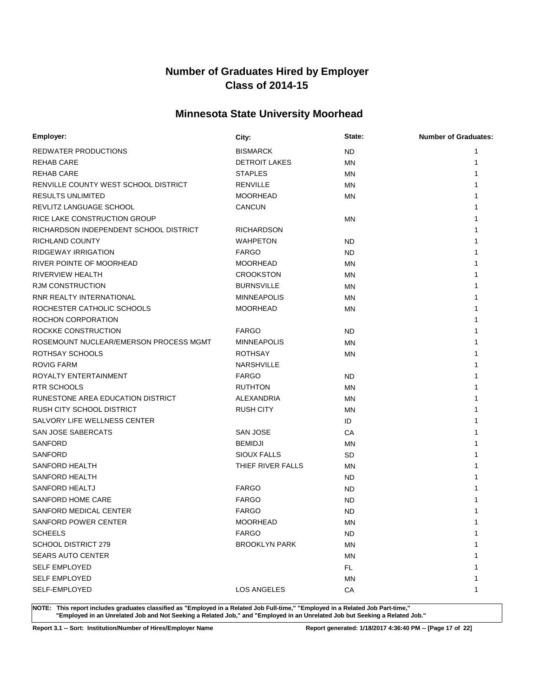# **Minnesota State University Moorhead**

| Employer:                              | City:                | State:    | <b>Number of Graduates:</b> |
|----------------------------------------|----------------------|-----------|-----------------------------|
| REDWATER PRODUCTIONS                   | <b>BISMARCK</b>      | ND.       | 1                           |
| REHAB CARE                             | <b>DETROIT LAKES</b> | <b>MN</b> | 1                           |
| <b>REHAB CARE</b>                      | <b>STAPLES</b>       | ΜN        |                             |
| RENVILLE COUNTY WEST SCHOOL DISTRICT   | <b>RENVILLE</b>      | MN        |                             |
| <b>RESULTS UNLIMITED</b>               | <b>MOORHEAD</b>      | ΜN        |                             |
| REVLITZ LANGUAGE SCHOOL                | <b>CANCUN</b>        |           |                             |
| RICE LAKE CONSTRUCTION GROUP           |                      | ΜN        |                             |
| RICHARDSON INDEPENDENT SCHOOL DISTRICT | <b>RICHARDSON</b>    |           |                             |
| RICHLAND COUNTY                        | <b>WAHPETON</b>      | <b>ND</b> |                             |
| <b>RIDGEWAY IRRIGATION</b>             | <b>FARGO</b>         | ND.       |                             |
| RIVER POINTE OF MOORHEAD               | <b>MOORHEAD</b>      | <b>MN</b> |                             |
| RIVERVIEW HEALTH                       | <b>CROOKSTON</b>     | <b>MN</b> |                             |
| <b>RJM CONSTRUCTION</b>                | <b>BURNSVILLE</b>    | MN        |                             |
| RNR REALTY INTERNATIONAL               | <b>MINNEAPOLIS</b>   | ΜN        |                             |
| ROCHESTER CATHOLIC SCHOOLS             | <b>MOORHEAD</b>      | ΜN        |                             |
| ROCHON CORPORATION                     |                      |           |                             |
| ROCKKE CONSTRUCTION                    | <b>FARGO</b>         | ND.       |                             |
| ROSEMOUNT NUCLEAR/EMERSON PROCESS MGMT | <b>MINNEAPOLIS</b>   | <b>MN</b> |                             |
| ROTHSAY SCHOOLS                        | <b>ROTHSAY</b>       | ΜN        |                             |
| <b>ROVIG FARM</b>                      | <b>NARSHVILLE</b>    |           |                             |
| ROYALTY ENTERTAINMENT                  | <b>FARGO</b>         | ND.       |                             |
| <b>RTR SCHOOLS</b>                     | <b>RUTHTON</b>       | <b>MN</b> |                             |
| RUNESTONE AREA EDUCATION DISTRICT      | ALEXANDRIA           | <b>MN</b> |                             |
| RUSH CITY SCHOOL DISTRICT              | <b>RUSH CITY</b>     | <b>MN</b> |                             |
| SALVORY LIFE WELLNESS CENTER           |                      | ID        |                             |
| SAN JOSE SABERCATS                     | SAN JOSE             | СA        |                             |
| <b>SANFORD</b>                         | <b>BEMIDJI</b>       | MN        |                             |
| SANFORD                                | <b>SIOUX FALLS</b>   | SD        |                             |
| SANFORD HEALTH                         | THIEF RIVER FALLS    | MN        |                             |
| <b>SANFORD HEALTH</b>                  |                      | ND.       |                             |
| <b>SANFORD HEALTJ</b>                  | <b>FARGO</b>         | ND.       |                             |
| SANFORD HOME CARE                      | <b>FARGO</b>         | <b>ND</b> |                             |
| SANFORD MEDICAL CENTER                 | <b>FARGO</b>         | <b>ND</b> |                             |
| SANFORD POWER CENTER                   | <b>MOORHEAD</b>      | MN        | 1                           |
| <b>SCHEELS</b>                         | <b>FARGO</b>         | ND.       | 1                           |
| <b>SCHOOL DISTRICT 279</b>             | <b>BROOKLYN PARK</b> | <b>MN</b> | 1                           |
| <b>SEARS AUTO CENTER</b>               |                      | ΜN        | 1                           |
| <b>SELF EMPLOYED</b>                   |                      | FL.       | 1                           |
| <b>SELF EMPLOYED</b>                   |                      | MN        | 1                           |
| SELF-EMPLOYED                          | <b>LOS ANGELES</b>   | CA        | 1                           |

**NOTE: This report includes graduates classified as "Employed in a Related Job Full-time," "Employed in a Related Job Part-time," "Employed in an Unrelated Job and Not Seeking a Related Job," and "Employed in an Unrelated Job but Seeking a Related Job."**

**Report 3.1 -- Sort: Institution/Number of Hires/Employer Name Report generated: 1/18/2017 4:36:40 PM -- [Page 17 of 22]**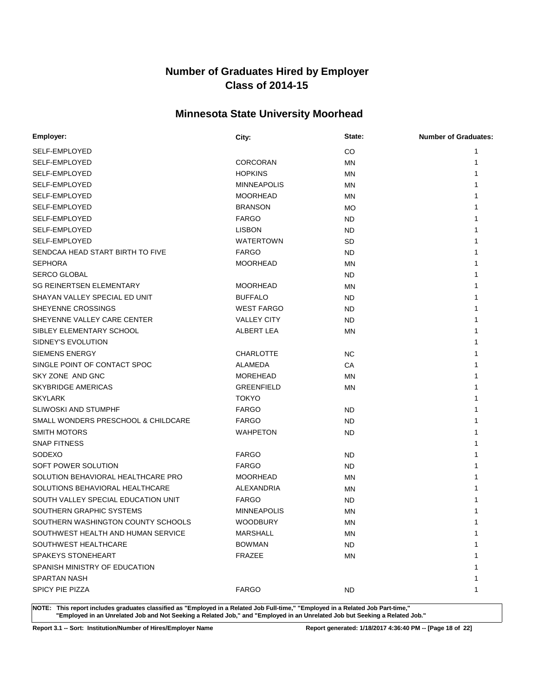# **Minnesota State University Moorhead**

| Employer:                           | City:              | State:    | <b>Number of Graduates:</b> |
|-------------------------------------|--------------------|-----------|-----------------------------|
| SELF-EMPLOYED                       |                    | CO        |                             |
| SELF-EMPLOYED                       | <b>CORCORAN</b>    | MN        |                             |
| SELF-EMPLOYED                       | <b>HOPKINS</b>     | MN        |                             |
| SELF-EMPLOYED                       | <b>MINNEAPOLIS</b> | MN        |                             |
| SELF-EMPLOYED                       | <b>MOORHEAD</b>    | MN        |                             |
| SELF-EMPLOYED                       | <b>BRANSON</b>     | <b>MO</b> |                             |
| SELF-EMPLOYED                       | <b>FARGO</b>       | ND        |                             |
| SELF-EMPLOYED                       | <b>LISBON</b>      | ND        |                             |
| SELF-EMPLOYED                       | <b>WATERTOWN</b>   | SD        |                             |
| SENDCAA HEAD START BIRTH TO FIVE    | <b>FARGO</b>       | ND        |                             |
| <b>SEPHORA</b>                      | <b>MOORHEAD</b>    | MN        |                             |
| <b>SERCO GLOBAL</b>                 |                    | ND        |                             |
| <b>SG REINERTSEN ELEMENTARY</b>     | <b>MOORHEAD</b>    | MN        |                             |
| SHAYAN VALLEY SPECIAL ED UNIT       | <b>BUFFALO</b>     | ND        |                             |
| SHEYENNE CROSSINGS                  | <b>WEST FARGO</b>  | ND        |                             |
| SHEYENNE VALLEY CARE CENTER         | <b>VALLEY CITY</b> | ND        |                             |
| SIBLEY ELEMENTARY SCHOOL            | ALBERT LEA         | MN        |                             |
| SIDNEY'S EVOLUTION                  |                    |           |                             |
| <b>SIEMENS ENERGY</b>               | <b>CHARLOTTE</b>   | NC.       |                             |
| SINGLE POINT OF CONTACT SPOC        | ALAMEDA            | СA        |                             |
| SKY ZONE AND GNC                    | <b>MOREHEAD</b>    | MN        |                             |
| <b>SKYBRIDGE AMERICAS</b>           | <b>GREENFIELD</b>  | MN        |                             |
| <b>SKYLARK</b>                      | <b>TOKYO</b>       |           |                             |
| <b>SLIWOSKI AND STUMPHF</b>         | <b>FARGO</b>       | ND        |                             |
| SMALL WONDERS PRESCHOOL & CHILDCARE | <b>FARGO</b>       | ND        |                             |
| <b>SMITH MOTORS</b>                 | <b>WAHPETON</b>    | ND        |                             |
| <b>SNAP FITNESS</b>                 |                    |           |                             |
| <b>SODEXO</b>                       | <b>FARGO</b>       | ND        |                             |
| SOFT POWER SOLUTION                 | <b>FARGO</b>       | ND        |                             |
| SOLUTION BEHAVIORAL HEALTHCARE PRO  | <b>MOORHEAD</b>    | MN        |                             |
| SOLUTIONS BEHAVIORAL HEALTHCARE     | ALEXANDRIA         | MN        |                             |
| SOUTH VALLEY SPECIAL EDUCATION UNIT | <b>FARGO</b>       | ND        |                             |
| SOUTHERN GRAPHIC SYSTEMS            | <b>MINNEAPOLIS</b> | MN        |                             |
| SOUTHERN WASHINGTON COUNTY SCHOOLS  | <b>WOODBURY</b>    | MN        | 1                           |
| SOUTHWEST HEALTH AND HUMAN SERVICE  | <b>MARSHALL</b>    | ΜN        | $\mathbf{1}$                |
| SOUTHWEST HEALTHCARE                | <b>BOWMAN</b>      | <b>ND</b> | 1                           |
| SPAKEYS STONEHEART                  | FRAZEE             | MN        |                             |
| SPANISH MINISTRY OF EDUCATION       |                    |           | 1                           |
| <b>SPARTAN NASH</b>                 |                    |           | 1                           |
| <b>SPICY PIE PIZZA</b>              | <b>FARGO</b>       | <b>ND</b> | 1                           |

**NOTE: This report includes graduates classified as "Employed in a Related Job Full-time," "Employed in a Related Job Part-time," "Employed in an Unrelated Job and Not Seeking a Related Job," and "Employed in an Unrelated Job but Seeking a Related Job."**

**Report 3.1 -- Sort: Institution/Number of Hires/Employer Name Report generated: 1/18/2017 4:36:40 PM -- [Page 18 of 22]**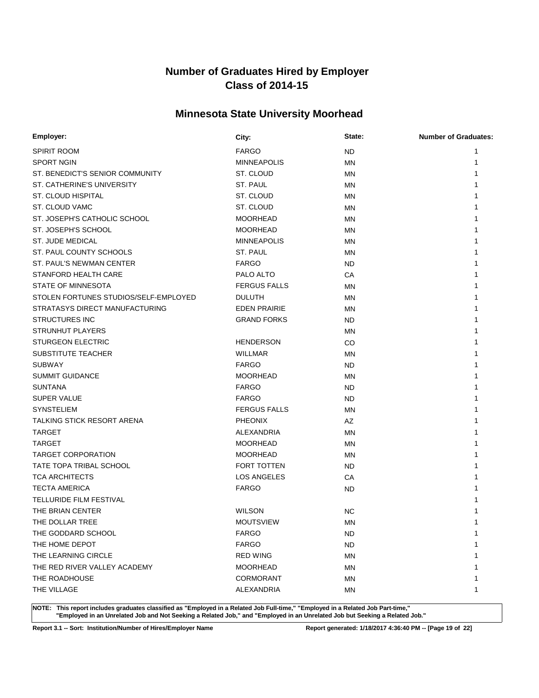# **Minnesota State University Moorhead**

| Employer:                             | City:               | State:    | <b>Number of Graduates:</b> |
|---------------------------------------|---------------------|-----------|-----------------------------|
| <b>SPIRIT ROOM</b>                    | <b>FARGO</b>        | ND        | 1                           |
| <b>SPORT NGIN</b>                     | <b>MINNEAPOLIS</b>  | <b>MN</b> | 1                           |
| ST. BENEDICT'S SENIOR COMMUNITY       | ST. CLOUD           | MN        |                             |
| ST. CATHERINE'S UNIVERSITY            | ST. PAUL            | MN        |                             |
| ST. CLOUD HISPITAL                    | ST. CLOUD           | MN        |                             |
| ST. CLOUD VAMC                        | ST. CLOUD           | MN        |                             |
| ST. JOSEPH'S CATHOLIC SCHOOL          | <b>MOORHEAD</b>     | MN        |                             |
| ST. JOSEPH'S SCHOOL                   | <b>MOORHEAD</b>     | MN        |                             |
| <b>ST. JUDE MEDICAL</b>               | <b>MINNEAPOLIS</b>  | MN        |                             |
| ST. PAUL COUNTY SCHOOLS               | ST. PAUL            | MN        |                             |
| ST. PAUL'S NEWMAN CENTER              | <b>FARGO</b>        | ND        |                             |
| STANFORD HEALTH CARE                  | PALO ALTO           | СA        |                             |
| STATE OF MINNESOTA                    | <b>FERGUS FALLS</b> | MN        |                             |
| STOLEN FORTUNES STUDIOS/SELF-EMPLOYED | <b>DULUTH</b>       | MN        |                             |
| STRATASYS DIRECT MANUFACTURING        | <b>EDEN PRAIRIE</b> | MN        |                             |
| <b>STRUCTURES INC</b>                 | <b>GRAND FORKS</b>  | ND        |                             |
| <b>STRUNHUT PLAYERS</b>               |                     | MN        |                             |
| <b>STURGEON ELECTRIC</b>              | <b>HENDERSON</b>    | CO        |                             |
| SUBSTITUTE TEACHER                    | <b>WILLMAR</b>      | MN        |                             |
| <b>SUBWAY</b>                         | <b>FARGO</b>        | ND        |                             |
| <b>SUMMIT GUIDANCE</b>                | <b>MOORHEAD</b>     | MN        |                             |
| <b>SUNTANA</b>                        | <b>FARGO</b>        | ND        |                             |
| <b>SUPER VALUE</b>                    | <b>FARGO</b>        | ND        |                             |
| <b>SYNSTELIEM</b>                     | <b>FERGUS FALLS</b> | MN        |                             |
| TALKING STICK RESORT ARENA            | <b>PHEONIX</b>      | AZ        |                             |
| <b>TARGET</b>                         | ALEXANDRIA          | MN        |                             |
| TARGET                                | <b>MOORHEAD</b>     | MN        |                             |
| <b>TARGET CORPORATION</b>             | <b>MOORHEAD</b>     | MN        |                             |
| TATE TOPA TRIBAL SCHOOL               | FORT TOTTEN         | ND        |                             |
| <b>TCA ARCHITECTS</b>                 | <b>LOS ANGELES</b>  | СA        |                             |
| <b>TECTA AMERICA</b>                  | <b>FARGO</b>        | <b>ND</b> |                             |
| TELLURIDE FILM FESTIVAL               |                     |           |                             |
| THE BRIAN CENTER                      | <b>WILSON</b>       | <b>NC</b> |                             |
| THE DOLLAR TREE                       | <b>MOUTSVIEW</b>    | <b>MN</b> | 1                           |
| THE GODDARD SCHOOL                    | <b>FARGO</b>        | <b>ND</b> | 1                           |
| THE HOME DEPOT                        | <b>FARGO</b>        | <b>ND</b> |                             |
| THE LEARNING CIRCLE                   | <b>RED WING</b>     | MN        |                             |
| THE RED RIVER VALLEY ACADEMY          | <b>MOORHEAD</b>     | <b>MN</b> |                             |
| THE ROADHOUSE                         | CORMORANT           | MN        |                             |
| THE VILLAGE                           | ALEXANDRIA          | <b>MN</b> | 1                           |

**NOTE: This report includes graduates classified as "Employed in a Related Job Full-time," "Employed in a Related Job Part-time," "Employed in an Unrelated Job and Not Seeking a Related Job," and "Employed in an Unrelated Job but Seeking a Related Job."**

**Report 3.1 -- Sort: Institution/Number of Hires/Employer Name Report generated: 1/18/2017 4:36:40 PM -- [Page 19 of 22]**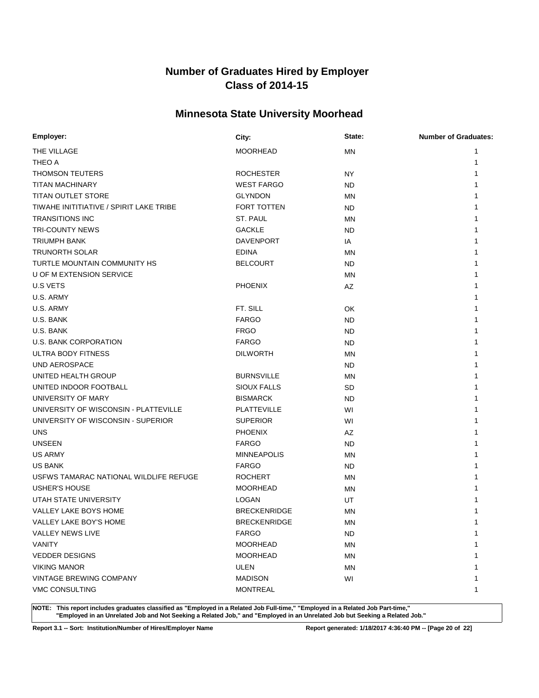# **Minnesota State University Moorhead**

| Employer:                               | City:               | State:    | <b>Number of Graduates:</b> |
|-----------------------------------------|---------------------|-----------|-----------------------------|
| THE VILLAGE                             | <b>MOORHEAD</b>     | MN        | 1                           |
| THEO A                                  |                     |           | 1                           |
| <b>THOMSON TEUTERS</b>                  | <b>ROCHESTER</b>    | NY        |                             |
| <b>TITAN MACHINARY</b>                  | <b>WEST FARGO</b>   | ND        |                             |
| <b>TITAN OUTLET STORE</b>               | <b>GLYNDON</b>      | MN        |                             |
| TIWAHE INITITIATIVE / SPIRIT LAKE TRIBE | <b>FORT TOTTEN</b>  | ND.       |                             |
| <b>TRANSITIONS INC</b>                  | ST. PAUL            | <b>MN</b> |                             |
| <b>TRI-COUNTY NEWS</b>                  | <b>GACKLE</b>       | ND        |                             |
| <b>TRIUMPH BANK</b>                     | <b>DAVENPORT</b>    | IA        |                             |
| <b>TRUNORTH SOLAR</b>                   | <b>EDINA</b>        | <b>MN</b> |                             |
| TURTLE MOUNTAIN COMMUNITY HS            | <b>BELCOURT</b>     | ND.       |                             |
| U OF M EXTENSION SERVICE                |                     | <b>MN</b> |                             |
| <b>U.S VETS</b>                         | <b>PHOENIX</b>      | AZ        |                             |
| U.S. ARMY                               |                     |           |                             |
| U.S. ARMY                               | FT. SILL            | OK        |                             |
| U.S. BANK                               | <b>FARGO</b>        | ND        |                             |
| U.S. BANK                               | <b>FRGO</b>         | <b>ND</b> |                             |
| U.S. BANK CORPORATION                   | <b>FARGO</b>        | ND        |                             |
| ULTRA BODY FITNESS                      | <b>DILWORTH</b>     | <b>MN</b> |                             |
| <b>UND AEROSPACE</b>                    |                     | ND        |                             |
| UNITED HEALTH GROUP                     | <b>BURNSVILLE</b>   | <b>MN</b> |                             |
| UNITED INDOOR FOOTBALL                  | <b>SIOUX FALLS</b>  | SD        |                             |
| UNIVERSITY OF MARY                      | <b>BISMARCK</b>     | ND        |                             |
| UNIVERSITY OF WISCONSIN - PLATTEVILLE   | <b>PLATTEVILLE</b>  | WI        |                             |
| UNIVERSITY OF WISCONSIN - SUPERIOR      | <b>SUPERIOR</b>     | WI        |                             |
| <b>UNS</b>                              | <b>PHOENIX</b>      | AZ        |                             |
| <b>UNSEEN</b>                           | <b>FARGO</b>        | ND        |                             |
| <b>US ARMY</b>                          | <b>MINNEAPOLIS</b>  | <b>MN</b> |                             |
| <b>US BANK</b>                          | <b>FARGO</b>        | ND.       |                             |
| USFWS TAMARAC NATIONAL WILDLIFE REFUGE  | <b>ROCHERT</b>      | MN        |                             |
| <b>USHER'S HOUSE</b>                    | <b>MOORHEAD</b>     | <b>MN</b> |                             |
| UTAH STATE UNIVERSITY                   | <b>LOGAN</b>        | UT        |                             |
| VALLEY LAKE BOYS HOME                   | <b>BRECKENRIDGE</b> | <b>MN</b> |                             |
| VALLEY LAKE BOY'S HOME                  | <b>BRECKENRIDGE</b> | MN        |                             |
| <b>VALLEY NEWS LIVE</b>                 | <b>FARGO</b>        | ND.       | 1                           |
| <b>VANITY</b>                           | <b>MOORHEAD</b>     | ΜN        |                             |
| <b>VEDDER DESIGNS</b>                   | <b>MOORHEAD</b>     | ΜN        |                             |
| <b>VIKING MANOR</b>                     | ULEN                | MN        |                             |
| <b>VINTAGE BREWING COMPANY</b>          | <b>MADISON</b>      | WI        |                             |
| VMC CONSULTING                          | <b>MONTREAL</b>     |           | 1                           |

**NOTE: This report includes graduates classified as "Employed in a Related Job Full-time," "Employed in a Related Job Part-time," "Employed in an Unrelated Job and Not Seeking a Related Job," and "Employed in an Unrelated Job but Seeking a Related Job."**

**Report 3.1 -- Sort: Institution/Number of Hires/Employer Name Report generated: 1/18/2017 4:36:40 PM -- [Page 20 of 22]**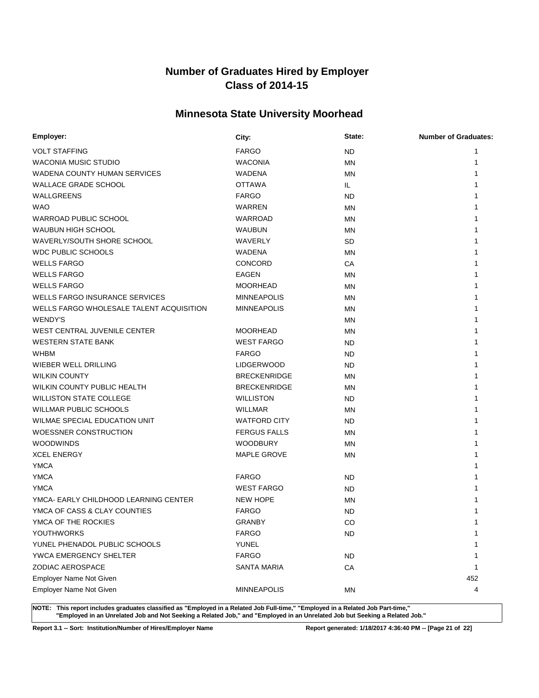# **Minnesota State University Moorhead**

| Employer:                                | City:               | State:    | <b>Number of Graduates:</b> |
|------------------------------------------|---------------------|-----------|-----------------------------|
| <b>VOLT STAFFING</b>                     | <b>FARGO</b>        | <b>ND</b> | 1                           |
| WACONIA MUSIC STUDIO                     | <b>WACONIA</b>      | <b>MN</b> | 1                           |
| <b>WADENA COUNTY HUMAN SERVICES</b>      | WADENA              | <b>MN</b> | 1                           |
| <b>WALLACE GRADE SCHOOL</b>              | <b>OTTAWA</b>       | IL.       |                             |
| WALLGREENS                               | <b>FARGO</b>        | <b>ND</b> |                             |
| <b>WAO</b>                               | <b>WARREN</b>       | MN        |                             |
| WARROAD PUBLIC SCHOOL                    | WARROAD             | <b>MN</b> |                             |
| <b>WAUBUN HIGH SCHOOL</b>                | <b>WAUBUN</b>       | MN        |                             |
| WAVERLY/SOUTH SHORE SCHOOL               | WAVERLY             | SD        |                             |
| <b>WDC PUBLIC SCHOOLS</b>                | WADENA              | <b>MN</b> |                             |
| <b>WELLS FARGO</b>                       | <b>CONCORD</b>      | СA        |                             |
| <b>WELLS FARGO</b>                       | <b>EAGEN</b>        | <b>MN</b> |                             |
| <b>WELLS FARGO</b>                       | <b>MOORHEAD</b>     | <b>MN</b> |                             |
| <b>WELLS FARGO INSURANCE SERVICES</b>    | <b>MINNEAPOLIS</b>  | <b>MN</b> |                             |
| WELLS FARGO WHOLESALE TALENT ACQUISITION | <b>MINNEAPOLIS</b>  | <b>MN</b> |                             |
| WENDY'S                                  |                     | MN        |                             |
| WEST CENTRAL JUVENILE CENTER             | <b>MOORHEAD</b>     | MN        |                             |
| <b>WESTERN STATE BANK</b>                | <b>WEST FARGO</b>   | ND        |                             |
| <b>WHBM</b>                              | <b>FARGO</b>        | ND        |                             |
| <b>WIEBER WELL DRILLING</b>              | <b>LIDGERWOOD</b>   | ND        |                             |
| <b>WILKIN COUNTY</b>                     | <b>BRECKENRIDGE</b> | MN        |                             |
| WILKIN COUNTY PUBLIC HEALTH              | <b>BRECKENRIDGE</b> | MN        | 1                           |
| <b>WILLISTON STATE COLLEGE</b>           | <b>WILLISTON</b>    | ND.       |                             |
| <b>WILLMAR PUBLIC SCHOOLS</b>            | <b>WILLMAR</b>      | MN        |                             |
| WILMAE SPECIAL EDUCATION UNIT            | <b>WATFORD CITY</b> | <b>ND</b> |                             |
| WOESSNER CONSTRUCTION                    | <b>FERGUS FALLS</b> | MN        |                             |
| <b>WOODWINDS</b>                         | <b>WOODBURY</b>     | <b>MN</b> |                             |
| <b>XCEL ENERGY</b>                       | <b>MAPLE GROVE</b>  | <b>MN</b> |                             |
| <b>YMCA</b>                              |                     |           |                             |
| <b>YMCA</b>                              | <b>FARGO</b>        | ND        |                             |
| <b>YMCA</b>                              | <b>WEST FARGO</b>   | ND        |                             |
| YMCA- EARLY CHILDHOOD LEARNING CENTER    | <b>NEW HOPE</b>     | MN        |                             |
| YMCA OF CASS & CLAY COUNTIES             | <b>FARGO</b>        | <b>ND</b> |                             |
| YMCA OF THE ROCKIES                      | <b>GRANBY</b>       | CO        | 1                           |
| YOUTHWORKS                               | <b>FARGO</b>        | <b>ND</b> | 1                           |
| YUNEL PHENADOL PUBLIC SCHOOLS            | YUNEL               |           | 1                           |
| YWCA EMERGENCY SHELTER                   | <b>FARGO</b>        | <b>ND</b> | 1                           |
| ZODIAC AEROSPACE                         | <b>SANTA MARIA</b>  | CA        | 1                           |
| Employer Name Not Given                  |                     |           | 452                         |
| Employer Name Not Given                  | <b>MINNEAPOLIS</b>  | <b>MN</b> | 4                           |

**NOTE: This report includes graduates classified as "Employed in a Related Job Full-time," "Employed in a Related Job Part-time," "Employed in an Unrelated Job and Not Seeking a Related Job," and "Employed in an Unrelated Job but Seeking a Related Job."**

**Report 3.1 -- Sort: Institution/Number of Hires/Employer Name Report generated: 1/18/2017 4:36:40 PM -- [Page 21 of 22]**